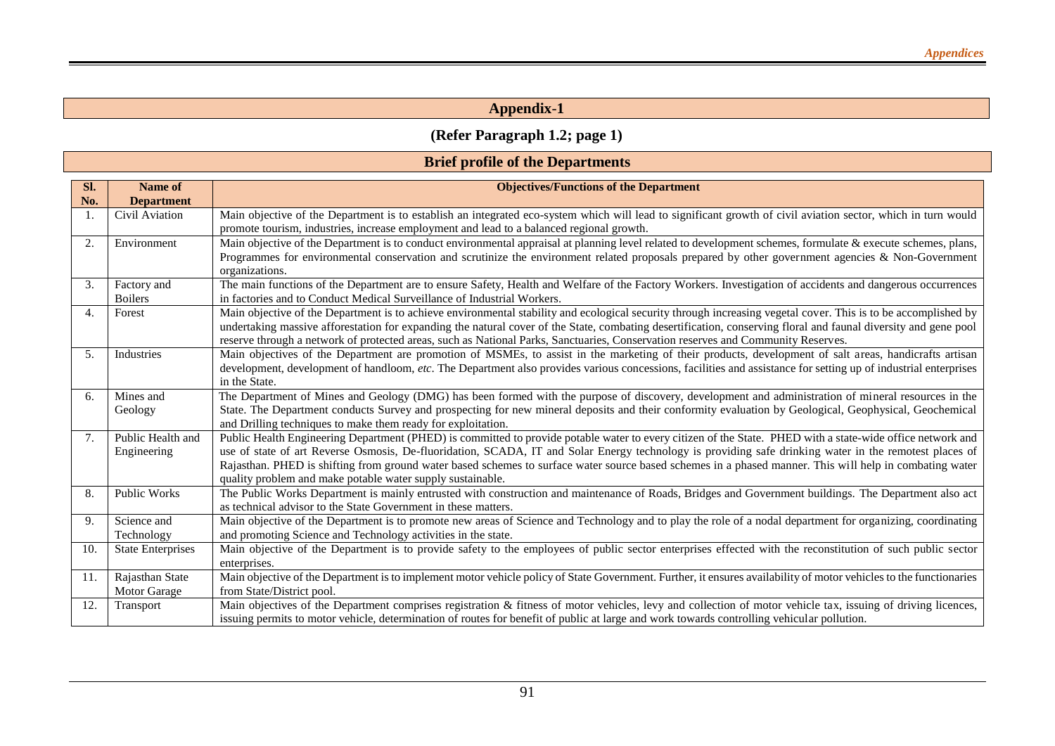# **(Refer Paragraph 1.2; page 1)**

## **Brief profile of the Departments**

| Sl. | <b>Name of</b>           | <b>Objectives/Functions of the Department</b>                                                                                                                                                                                                                                                                        |
|-----|--------------------------|----------------------------------------------------------------------------------------------------------------------------------------------------------------------------------------------------------------------------------------------------------------------------------------------------------------------|
| No. | <b>Department</b>        |                                                                                                                                                                                                                                                                                                                      |
|     | Civil Aviation           | Main objective of the Department is to establish an integrated eco-system which will lead to significant growth of civil aviation sector, which in turn would                                                                                                                                                        |
|     |                          | promote tourism, industries, increase employment and lead to a balanced regional growth.                                                                                                                                                                                                                             |
| 2.  | Environment              | Main objective of the Department is to conduct environmental appraisal at planning level related to development schemes, formulate & execute schemes, plans,                                                                                                                                                         |
|     |                          | Programmes for environmental conservation and scrutinize the environment related proposals prepared by other government agencies & Non-Government                                                                                                                                                                    |
|     |                          | organizations.                                                                                                                                                                                                                                                                                                       |
| 3.  | Factory and              | The main functions of the Department are to ensure Safety, Health and Welfare of the Factory Workers. Investigation of accidents and dangerous occurrences                                                                                                                                                           |
|     | <b>Boilers</b>           | in factories and to Conduct Medical Surveillance of Industrial Workers.                                                                                                                                                                                                                                              |
| 4.  | Forest                   | Main objective of the Department is to achieve environmental stability and ecological security through increasing vegetal cover. This is to be accomplished by                                                                                                                                                       |
|     |                          | undertaking massive afforestation for expanding the natural cover of the State, combating desertification, conserving floral and faunal diversity and gene pool                                                                                                                                                      |
|     |                          | reserve through a network of protected areas, such as National Parks, Sanctuaries, Conservation reserves and Community Reserves.                                                                                                                                                                                     |
| 5.  | Industries               | Main objectives of the Department are promotion of MSMEs, to assist in the marketing of their products, development of salt areas, handicrafts artisan                                                                                                                                                               |
|     |                          | development, development of handloom, etc. The Department also provides various concessions, facilities and assistance for setting up of industrial enterprises                                                                                                                                                      |
|     |                          | in the State.                                                                                                                                                                                                                                                                                                        |
| 6.  | Mines and                | The Department of Mines and Geology (DMG) has been formed with the purpose of discovery, development and administration of mineral resources in the                                                                                                                                                                  |
|     | Geology                  | State. The Department conducts Survey and prospecting for new mineral deposits and their conformity evaluation by Geological, Geophysical, Geochemical                                                                                                                                                               |
|     |                          | and Drilling techniques to make them ready for exploitation.                                                                                                                                                                                                                                                         |
| 7.  | Public Health and        | Public Health Engineering Department (PHED) is committed to provide potable water to every citizen of the State. PHED with a state-wide office network and<br>use of state of art Reverse Osmosis, De-fluoridation, SCADA, IT and Solar Energy technology is providing safe drinking water in the remotest places of |
|     | Engineering              | Rajasthan. PHED is shifting from ground water based schemes to surface water source based schemes in a phased manner. This will help in combating water                                                                                                                                                              |
|     |                          | quality problem and make potable water supply sustainable.                                                                                                                                                                                                                                                           |
| 8.  | <b>Public Works</b>      | The Public Works Department is mainly entrusted with construction and maintenance of Roads, Bridges and Government buildings. The Department also act                                                                                                                                                                |
|     |                          | as technical advisor to the State Government in these matters.                                                                                                                                                                                                                                                       |
| 9.  | Science and              | Main objective of the Department is to promote new areas of Science and Technology and to play the role of a nodal department for organizing, coordinating                                                                                                                                                           |
|     | Technology               | and promoting Science and Technology activities in the state.                                                                                                                                                                                                                                                        |
| 10. | <b>State Enterprises</b> | Main objective of the Department is to provide safety to the employees of public sector enterprises effected with the reconstitution of such public sector                                                                                                                                                           |
|     |                          | enterprises.                                                                                                                                                                                                                                                                                                         |
| 11. | Rajasthan State          | Main objective of the Department is to implement motor vehicle policy of State Government. Further, it ensures availability of motor vehicles to the functionaries                                                                                                                                                   |
|     | Motor Garage             | from State/District pool.                                                                                                                                                                                                                                                                                            |
| 12. | Transport                | Main objectives of the Department comprises registration & fitness of motor vehicles, levy and collection of motor vehicle tax, issuing of driving licences,                                                                                                                                                         |
|     |                          | issuing permits to motor vehicle, determination of routes for benefit of public at large and work towards controlling vehicular pollution.                                                                                                                                                                           |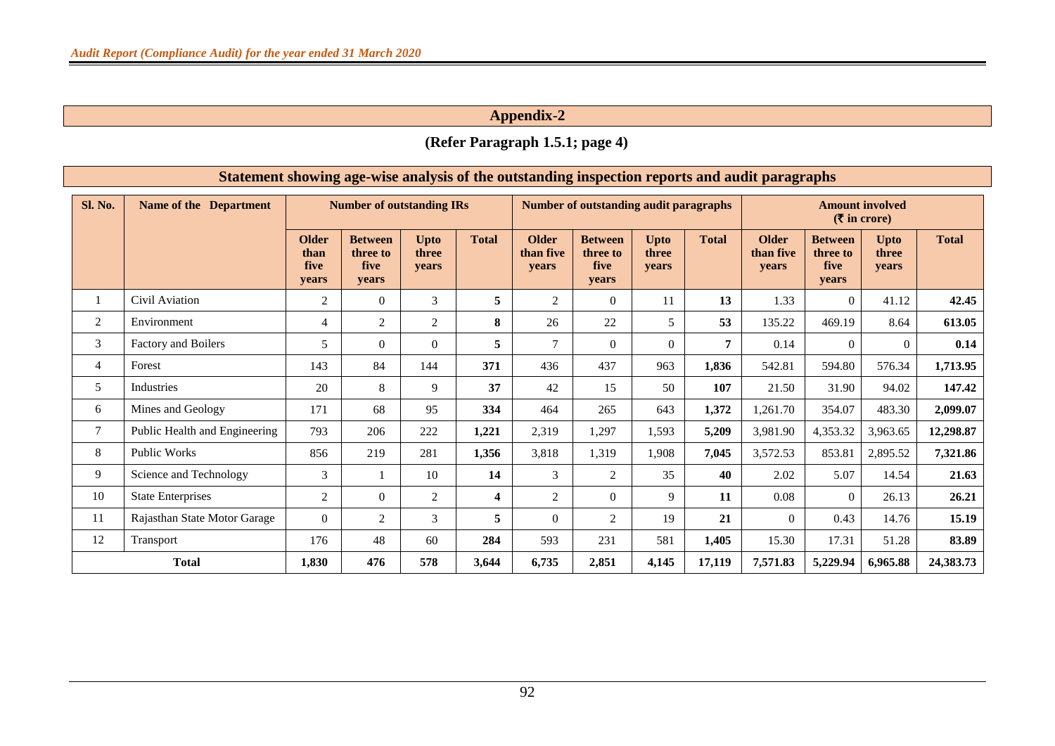# **(Refer Paragraph 1.5.1; page 4)**

|                | Statement showing age-wise analysis of the outstanding inspection reports and audit paragraphs |                                              |                                             |                               |              |                                           |                                             |                               |              |                                                                       |                                             |                               |              |
|----------------|------------------------------------------------------------------------------------------------|----------------------------------------------|---------------------------------------------|-------------------------------|--------------|-------------------------------------------|---------------------------------------------|-------------------------------|--------------|-----------------------------------------------------------------------|---------------------------------------------|-------------------------------|--------------|
| Sl. No.        | <b>Name of the Department</b>                                                                  |                                              | <b>Number of outstanding IRs</b>            |                               |              |                                           | Number of outstanding audit paragraphs      |                               |              | <b>Amount involved</b><br>$(\overline{\mathbf{\mathsf{F}}}$ in crore) |                                             |                               |              |
|                |                                                                                                | <b>Older</b><br>than<br><b>five</b><br>years | <b>Between</b><br>three to<br>five<br>years | <b>Upto</b><br>three<br>years | <b>Total</b> | <b>Older</b><br>than five<br><b>vears</b> | <b>Between</b><br>three to<br>five<br>years | <b>Upto</b><br>three<br>years | <b>Total</b> | <b>Older</b><br>than five<br>years                                    | <b>Between</b><br>three to<br>five<br>years | <b>Upto</b><br>three<br>years | <b>Total</b> |
|                | Civil Aviation                                                                                 | $\overline{2}$                               | $\Omega$                                    | 3                             | 5            | $\overline{c}$                            | $\overline{0}$                              | 11                            | 13           | 1.33                                                                  | $\Omega$                                    | 41.12                         | 42.45        |
| $\overline{2}$ | Environment                                                                                    | $\overline{4}$                               | 2                                           | 2                             | 8            | 26                                        | 22                                          | 5                             | 53           | 135.22                                                                | 469.19                                      | 8.64                          | 613.05       |
| 3              | Factory and Boilers                                                                            | 5                                            | $\Omega$                                    | $\Omega$                      | 5            | $\overline{7}$                            | $\mathbf{0}$                                | $\Omega$                      | 7            | 0.14                                                                  | $\Omega$                                    | $\theta$                      | 0.14         |
| $\overline{4}$ | Forest                                                                                         | 143                                          | 84                                          | 144                           | 371          | 436                                       | 437                                         | 963                           | 1,836        | 542.81                                                                | 594.80                                      | 576.34                        | 1,713.95     |
| 5              | <b>Industries</b>                                                                              | 20                                           | 8                                           | 9                             | 37           | 42                                        | 15                                          | 50                            | 107          | 21.50                                                                 | 31.90                                       | 94.02                         | 147.42       |
| 6              | Mines and Geology                                                                              | 171                                          | 68                                          | 95                            | 334          | 464                                       | 265                                         | 643                           | 1,372        | 1,261.70                                                              | 354.07                                      | 483.30                        | 2,099.07     |
| $\tau$         | Public Health and Engineering                                                                  | 793                                          | 206                                         | 222                           | 1,221        | 2,319                                     | 1,297                                       | 1,593                         | 5,209        | 3,981.90                                                              | 4,353.32                                    | 3,963.65                      | 12,298.87    |
| 8              | <b>Public Works</b>                                                                            | 856                                          | 219                                         | 281                           | 1,356        | 3,818                                     | 1,319                                       | 1,908                         | 7,045        | 3,572.53                                                              | 853.81                                      | 2,895.52                      | 7,321.86     |
| 9              | Science and Technology                                                                         | 3                                            |                                             | 10                            | 14           | 3                                         | 2                                           | 35                            | 40           | 2.02                                                                  | 5.07                                        | 14.54                         | 21.63        |
| 10             | <b>State Enterprises</b>                                                                       | 2                                            | $\Omega$                                    | 2                             | 4            | 2                                         | $\Omega$                                    | 9                             | 11           | 0.08                                                                  | $\Omega$                                    | 26.13                         | 26.21        |
| 11             | Rajasthan State Motor Garage                                                                   | $\theta$                                     | 2                                           | $\mathcal{F}$                 | 5            | $\Omega$                                  | 2                                           | 19                            | 21           | $\Omega$                                                              | 0.43                                        | 14.76                         | 15.19        |
| 12             | Transport                                                                                      | 176                                          | 48                                          | 60                            | 284          | 593                                       | 231                                         | 581                           | 1,405        | 15.30                                                                 | 17.31                                       | 51.28                         | 83.89        |
|                | <b>Total</b>                                                                                   | 1.830                                        | 476                                         | 578                           | 3,644        | 6,735                                     | 2,851                                       | 4,145                         | 17,119       | 7,571.83                                                              | 5,229.94                                    | 6,965.88                      | 24,383.73    |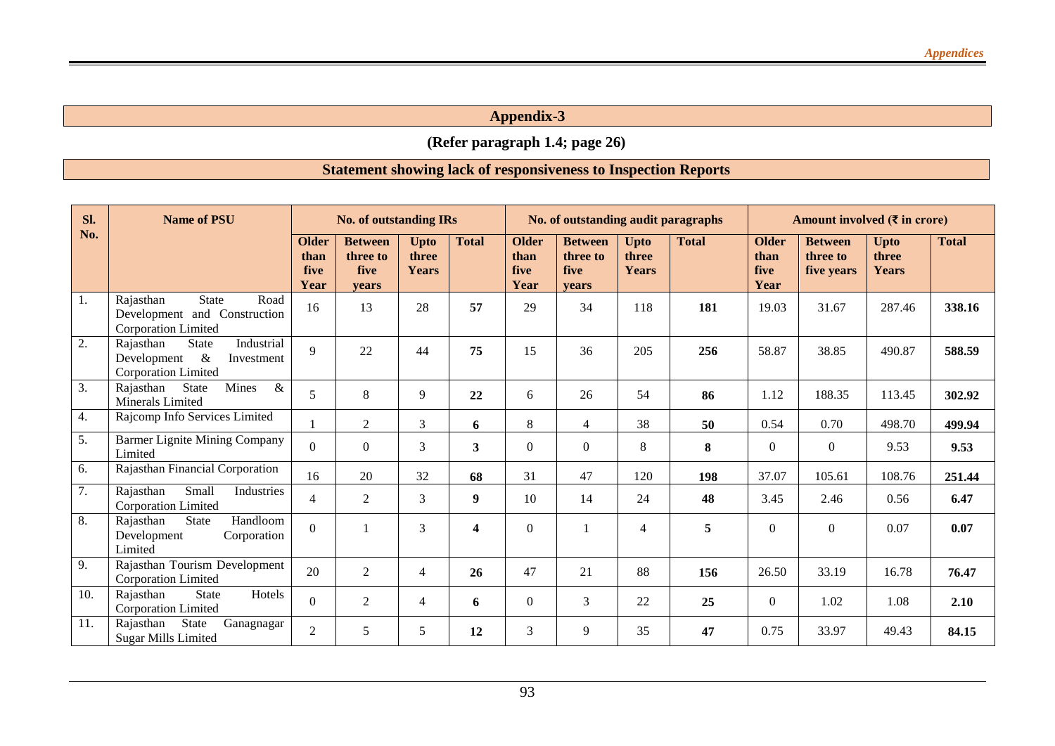**(Refer paragraph 1.4; page 26)**

# **Statement showing lack of responsiveness to Inspection Reports**

| SI.               | <b>Name of PSU</b>                                                                                         |                                      | <b>No. of outstanding IRs</b>                      |                                      |              |                                      | No. of outstanding audit paragraphs         |                                      |              | Amount involved $(\bar{\tau}$ in crore) |                                          |                                      |              |
|-------------------|------------------------------------------------------------------------------------------------------------|--------------------------------------|----------------------------------------------------|--------------------------------------|--------------|--------------------------------------|---------------------------------------------|--------------------------------------|--------------|-----------------------------------------|------------------------------------------|--------------------------------------|--------------|
| No.               |                                                                                                            | <b>Older</b><br>than<br>five<br>Year | <b>Between</b><br>three to<br>five<br><b>vears</b> | <b>Upto</b><br>three<br><b>Years</b> | <b>Total</b> | <b>Older</b><br>than<br>five<br>Year | <b>Between</b><br>three to<br>five<br>vears | <b>Upto</b><br>three<br><b>Years</b> | <b>Total</b> | <b>Older</b><br>than<br>five<br>Year    | <b>Between</b><br>three to<br>five years | <b>Upto</b><br>three<br><b>Years</b> | <b>Total</b> |
| 1.                | <b>State</b><br>Road<br>Rajasthan<br>Development and Construction<br><b>Corporation Limited</b>            | 16                                   | 13                                                 | 28                                   | 57           | 29                                   | 34                                          | 118                                  | 181          | 19.03                                   | 31.67                                    | 287.46                               | 338.16       |
| 2.                | Industrial<br>Rajasthan<br><b>State</b><br>Development<br>$\&$<br>Investment<br><b>Corporation Limited</b> | $\mathbf Q$                          | 22                                                 | 44                                   | 75           | 15                                   | 36                                          | 205                                  | 256          | 58.87                                   | 38.85                                    | 490.87                               | 588.59       |
| 3.                | State<br>Mines<br>$\&$<br>Rajasthan<br>Minerals Limited                                                    | 5                                    | 8                                                  | 9                                    | 22           | 6                                    | 26                                          | 54                                   | 86           | 1.12                                    | 188.35                                   | 113.45                               | 302.92       |
| 4.                | Rajcomp Info Services Limited                                                                              |                                      | 2                                                  | 3                                    | 6            | 8                                    | $\overline{4}$                              | 38                                   | 50           | 0.54                                    | 0.70                                     | 498.70                               | 499.94       |
| 5.                | <b>Barmer Lignite Mining Company</b><br>Limited                                                            | $\Omega$                             | $\Omega$                                           | 3                                    | 3            | $\Omega$                             | $\Omega$                                    | 8                                    | 8            | $\Omega$                                | $\boldsymbol{0}$                         | 9.53                                 | 9.53         |
| 6.                | Rajasthan Financial Corporation                                                                            | 16                                   | 20                                                 | 32                                   | 68           | 31                                   | 47                                          | 120                                  | 198          | 37.07                                   | 105.61                                   | 108.76                               | 251.44       |
| 7.                | Small<br>Rajasthan<br>Industries<br><b>Corporation Limited</b>                                             | $\overline{4}$                       | $\overline{2}$                                     | 3                                    | 9            | 10                                   | 14                                          | 24                                   | 48           | 3.45                                    | 2.46                                     | 0.56                                 | 6.47         |
| 8.                | Handloom<br><b>State</b><br>Rajasthan<br>Development<br>Corporation<br>Limited                             | $\Omega$                             |                                                    | 3                                    | 4            | $\theta$                             |                                             | $\overline{4}$                       | 5            | $\theta$                                | $\Omega$                                 | 0.07                                 | 0.07         |
| 9.                | Rajasthan Tourism Development<br><b>Corporation Limited</b>                                                | 20                                   | 2                                                  | $\overline{4}$                       | 26           | 47                                   | 21                                          | 88                                   | 156          | 26.50                                   | 33.19                                    | 16.78                                | 76.47        |
| $\overline{10}$ . | Hotels<br>Rajasthan<br><b>State</b><br><b>Corporation Limited</b>                                          | $\Omega$                             | $\overline{2}$                                     | $\overline{4}$                       | 6            | $\Omega$                             | 3                                           | 22                                   | 25           | $\theta$                                | 1.02                                     | 1.08                                 | 2.10         |
| 11.               | State<br>Rajasthan<br>Ganagnagar<br><b>Sugar Mills Limited</b>                                             | $\overline{2}$                       | 5                                                  | 5                                    | 12           | 3                                    | 9                                           | 35                                   | 47           | 0.75                                    | 33.97                                    | 49.43                                | 84.15        |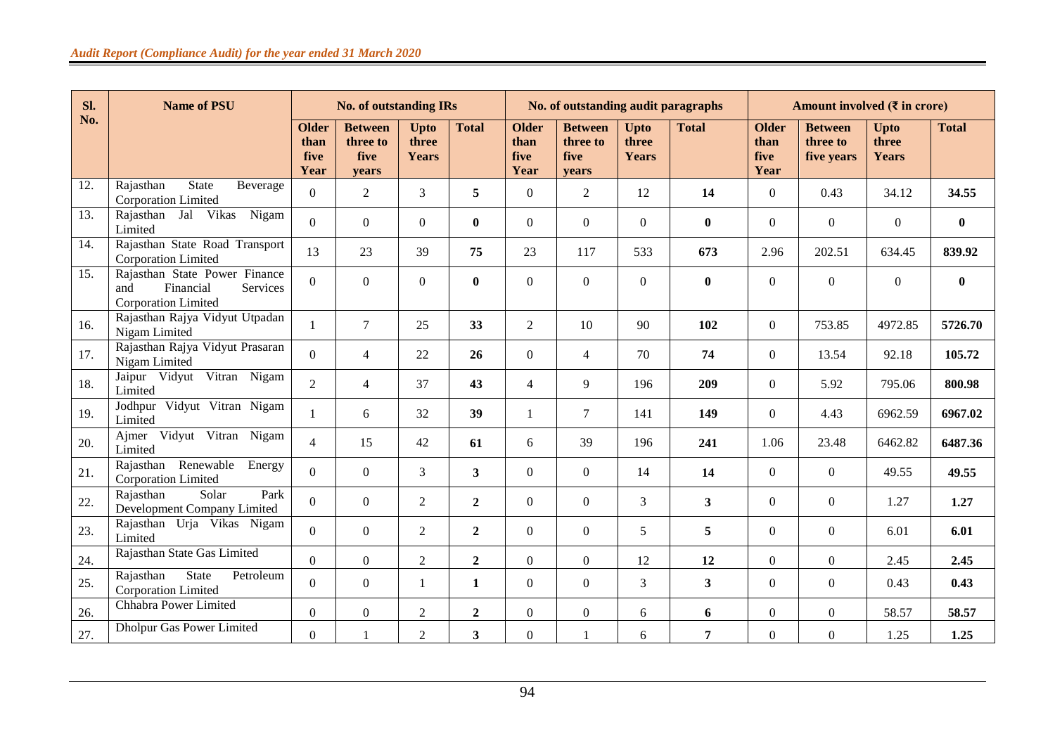| Sl.               | <b>Name of PSU</b>                                                                          |                                      | <b>No. of outstanding IRs</b>               |                               |                  |                                      | No. of outstanding audit paragraphs         |                                      |                |                                      | Amount involved $(3$ in crore)           |                               |              |
|-------------------|---------------------------------------------------------------------------------------------|--------------------------------------|---------------------------------------------|-------------------------------|------------------|--------------------------------------|---------------------------------------------|--------------------------------------|----------------|--------------------------------------|------------------------------------------|-------------------------------|--------------|
| No.               |                                                                                             | <b>Older</b><br>than<br>five<br>Year | <b>Between</b><br>three to<br>five<br>vears | <b>Upto</b><br>three<br>Years | <b>Total</b>     | <b>Older</b><br>than<br>five<br>Year | <b>Between</b><br>three to<br>five<br>vears | <b>Upto</b><br>three<br><b>Years</b> | <b>Total</b>   | <b>Older</b><br>than<br>five<br>Year | <b>Between</b><br>three to<br>five years | <b>Upto</b><br>three<br>Years | <b>Total</b> |
| 12.               | <b>State</b><br>Rajasthan<br>Beverage<br>Corporation Limited                                | $\Omega$                             | $\overline{2}$                              | $\overline{3}$                | 5                | $\Omega$                             | 2                                           | 12                                   | 14             | $\theta$                             | 0.43                                     | 34.12                         | 34.55        |
| $\overline{13}$ . | Nigam<br>Rajasthan Jal Vikas<br>Limited                                                     | $\Omega$                             | $\overline{0}$                              | $\boldsymbol{0}$              | $\mathbf{0}$     | $\Omega$                             | $\boldsymbol{0}$                            | $\overline{0}$                       | $\bf{0}$       | $\Omega$                             | $\boldsymbol{0}$                         | $\overline{0}$                | $\mathbf{0}$ |
| 14.               | Rajasthan State Road Transport<br><b>Corporation Limited</b>                                | 13                                   | 23                                          | 39                            | 75               | 23                                   | 117                                         | 533                                  | 673            | 2.96                                 | 202.51                                   | 634.45                        | 839.92       |
| 15.               | Rajasthan State Power Finance<br>Financial<br>Services<br>and<br><b>Corporation Limited</b> | $\Omega$                             | $\overline{0}$                              | $\boldsymbol{0}$              | $\bf{0}$         | $\Omega$                             | $\boldsymbol{0}$                            | $\overline{0}$                       | $\bf{0}$       | $\theta$                             | $\boldsymbol{0}$                         | $\overline{0}$                | $\bf{0}$     |
| 16.               | Rajasthan Rajya Vidyut Utpadan<br>Nigam Limited                                             | 1                                    | $\tau$                                      | 25                            | 33               | $\overline{2}$                       | 10                                          | 90                                   | 102            | $\Omega$                             | 753.85                                   | 4972.85                       | 5726.70      |
| 17.               | Rajasthan Rajya Vidyut Prasaran<br>Nigam Limited                                            | $\Omega$                             | $\overline{4}$                              | 22                            | 26               | $\Omega$                             | $\overline{4}$                              | 70                                   | 74             | $\theta$                             | 13.54                                    | 92.18                         | 105.72       |
| 18.               | Jaipur Vidyut Vitran Nigam<br>Limited                                                       | $\mathfrak{D}$                       | $\overline{4}$                              | 37                            | 43               | $\overline{4}$                       | 9                                           | 196                                  | 209            | $\Omega$                             | 5.92                                     | 795.06                        | 800.98       |
| 19.               | Vidyut Vitran Nigam<br>Jodhpur<br>Limited                                                   | 1                                    | 6                                           | 32                            | 39               | 1                                    | $\tau$                                      | 141                                  | 149            | $\Omega$                             | 4.43                                     | 6962.59                       | 6967.02      |
| 20.               | Ajmer Vidyut Vitran Nigam<br>Limited                                                        | $\overline{4}$                       | 15                                          | 42                            | 61               | 6                                    | 39                                          | 196                                  | 241            | 1.06                                 | 23.48                                    | 6462.82                       | 6487.36      |
| 21.               | Rajasthan Renewable<br>Energy<br><b>Corporation Limited</b>                                 | $\Omega$                             | $\overline{0}$                              | $\overline{3}$                | $3^{\circ}$      | $\Omega$                             | $\boldsymbol{0}$                            | 14                                   | 14             | $\Omega$                             | $\boldsymbol{0}$                         | 49.55                         | 49.55        |
| 22.               | Rajasthan<br>Solar<br>Park<br>Development Company Limited                                   | $\overline{0}$                       | $\Omega$                                    | 2                             | $\overline{2}$   | $\Omega$                             | $\theta$                                    | 3                                    | 3              | $\Omega$                             | $\boldsymbol{0}$                         | 1.27                          | 1.27         |
| 23.               | Rajasthan Urja Vikas Nigam<br>Limited                                                       | $\Omega$                             | $\overline{0}$                              | 2                             | $\overline{2}$   | $\Omega$                             | $\boldsymbol{0}$                            | 5                                    | 5              | $\Omega$                             | $\boldsymbol{0}$                         | 6.01                          | 6.01         |
| 24.               | Rajasthan State Gas Limited                                                                 | $\overline{0}$                       | $\overline{0}$                              | $\overline{2}$                | $\overline{2}$   | $\overline{0}$                       | $\boldsymbol{0}$                            | 12                                   | 12             | $\Omega$                             | $\boldsymbol{0}$                         | 2.45                          | 2.45         |
| 25.               | State<br>Petroleum<br>Rajasthan<br>Corporation Limited                                      | $\Omega$                             | $\Omega$                                    | 1                             | $\mathbf{1}$     | $\Omega$                             | $\mathbf{0}$                                | 3                                    | 3              | $\Omega$                             | $\Omega$                                 | 0.43                          | 0.43         |
| 26.               | Chhabra Power Limited                                                                       | $\Omega$                             | $\overline{0}$                              | $\sqrt{2}$                    | $\boldsymbol{2}$ | $\boldsymbol{0}$                     | $\mathbf{0}$                                | 6                                    | 6              | $\mathbf{0}$                         | $\boldsymbol{0}$                         | 58.57                         | 58.57        |
| 27.               | Dholpur Gas Power Limited                                                                   | $\overline{0}$                       |                                             | $\sqrt{2}$                    | 3                | $\overline{0}$                       |                                             | 6                                    | $\overline{7}$ | $\mathbf{0}$                         | $\boldsymbol{0}$                         | 1.25                          | 1.25         |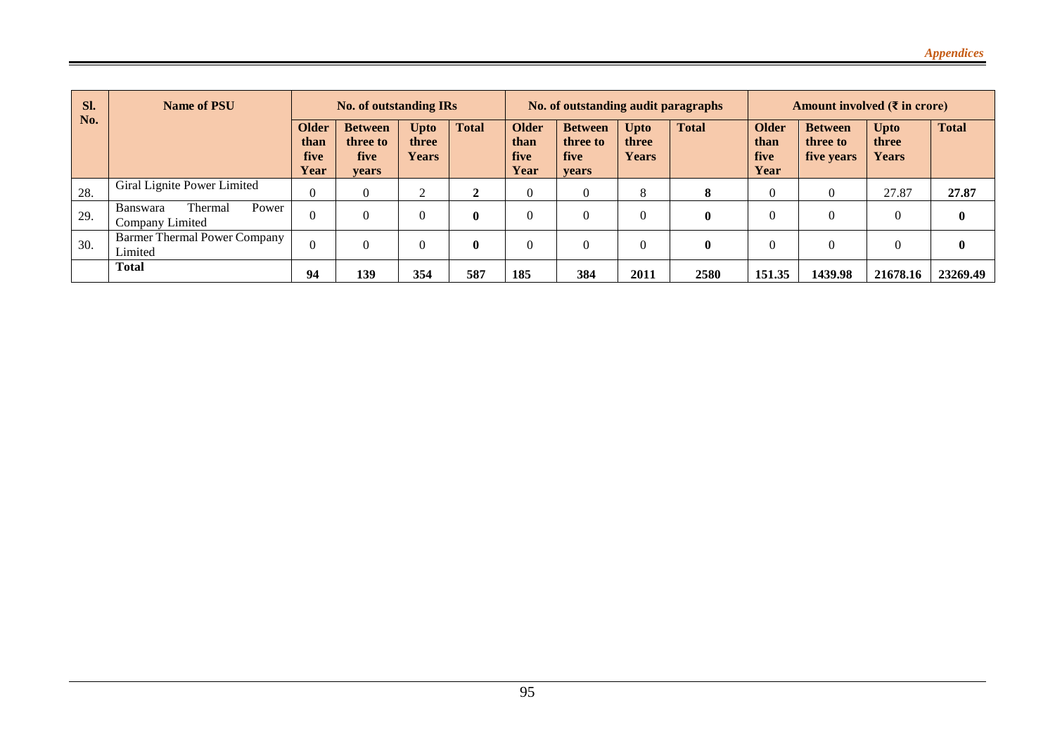| Sl. | Name of PSU<br><b>No. of outstanding IRs</b>                  |                                             |                                                    |                               |              | No. of outstanding audit paragraphs         |                                             |                                      |              | Amount involved $(\bar{\tau}$ in crore) |                                          |                               |              |
|-----|---------------------------------------------------------------|---------------------------------------------|----------------------------------------------------|-------------------------------|--------------|---------------------------------------------|---------------------------------------------|--------------------------------------|--------------|-----------------------------------------|------------------------------------------|-------------------------------|--------------|
| No. |                                                               | <b>Older</b><br>than<br>five<br><b>Year</b> | <b>Between</b><br>three to<br><b>five</b><br>vears | Upto<br>three<br><b>Years</b> | <b>Total</b> | <b>Older</b><br>than<br><b>five</b><br>Year | <b>Between</b><br>three to<br>five<br>vears | <b>Upto</b><br>three<br><b>Years</b> | <b>Total</b> | <b>Older</b><br>than<br>five<br>Year    | <b>Between</b><br>three to<br>five years | <b>Upto</b><br>three<br>Years | <b>Total</b> |
| 28. | Giral Lignite Power Limited                                   | 0                                           |                                                    | ∠                             | ി            | 0                                           |                                             | 8                                    | 8            |                                         |                                          | 27.87                         | 27.87        |
| 29. | Power<br><b>Banswara</b><br><b>Thermal</b><br>Company Limited |                                             |                                                    |                               | $\mathbf{0}$ |                                             |                                             | $\theta$                             | $\bf{0}$     |                                         | C                                        |                               | $\bf{0}$     |
| 30. | <b>Barmer Thermal Power Company</b><br>Limited                |                                             |                                                    |                               | $\mathbf{0}$ | 0                                           |                                             | $\theta$                             | $\bf{0}$     |                                         |                                          |                               | $\bf{0}$     |
|     | <b>Total</b>                                                  | 94                                          | 139                                                | 354                           | 587          | 185                                         | 384                                         | 2011                                 | 2580         | 151.35                                  | 1439.98                                  | 21678.16                      | 23269.49     |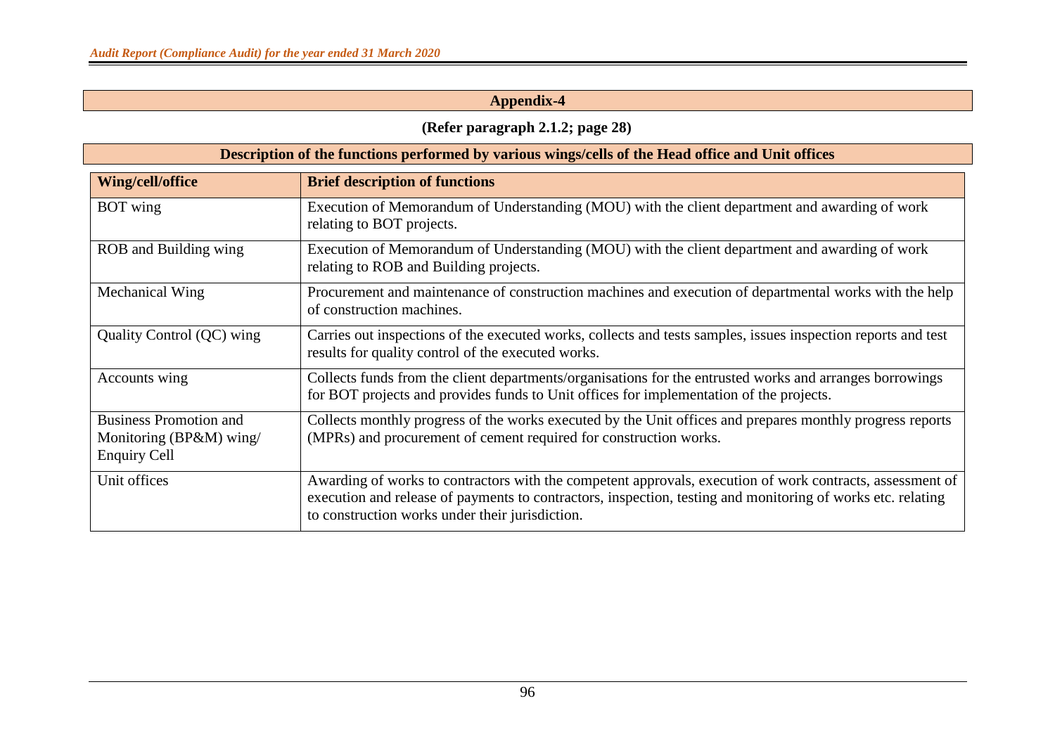# **(Refer paragraph 2.1.2; page 28)**

|                                                                                 | Description of the functions performed by various wings/cells of the Head office and Unit offices                                                                                                                                                                           |
|---------------------------------------------------------------------------------|-----------------------------------------------------------------------------------------------------------------------------------------------------------------------------------------------------------------------------------------------------------------------------|
| Wing/cell/office                                                                | <b>Brief description of functions</b>                                                                                                                                                                                                                                       |
| <b>BOT</b> wing                                                                 | Execution of Memorandum of Understanding (MOU) with the client department and awarding of work<br>relating to BOT projects.                                                                                                                                                 |
| ROB and Building wing                                                           | Execution of Memorandum of Understanding (MOU) with the client department and awarding of work<br>relating to ROB and Building projects.                                                                                                                                    |
| Mechanical Wing                                                                 | Procurement and maintenance of construction machines and execution of departmental works with the help<br>of construction machines.                                                                                                                                         |
| Quality Control (QC) wing                                                       | Carries out inspections of the executed works, collects and tests samples, issues inspection reports and test<br>results for quality control of the executed works.                                                                                                         |
| Accounts wing                                                                   | Collects funds from the client departments/organisations for the entrusted works and arranges borrowings<br>for BOT projects and provides funds to Unit offices for implementation of the projects.                                                                         |
| <b>Business Promotion and</b><br>Monitoring (BP&M) wing/<br><b>Enquiry Cell</b> | Collects monthly progress of the works executed by the Unit offices and prepares monthly progress reports<br>(MPRs) and procurement of cement required for construction works.                                                                                              |
| Unit offices                                                                    | Awarding of works to contractors with the competent approvals, execution of work contracts, assessment of<br>execution and release of payments to contractors, inspection, testing and monitoring of works etc. relating<br>to construction works under their jurisdiction. |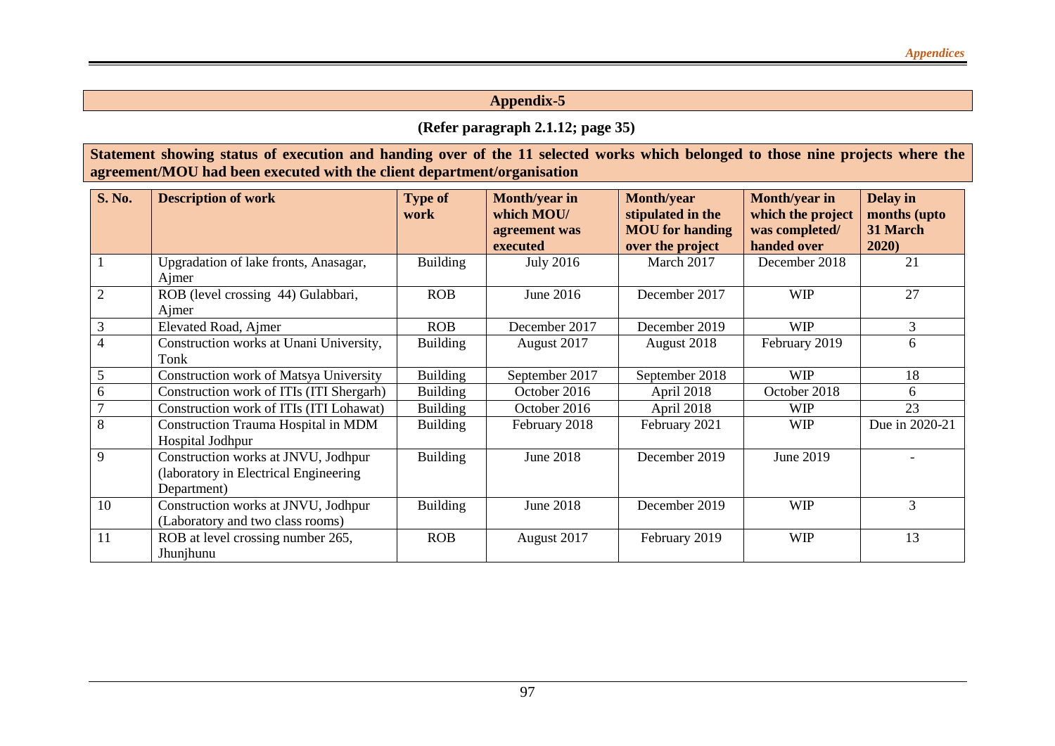### **(Refer paragraph 2.1.12; page 35)**

### **Statement showing status of execution and handing over of the 11 selected works which belonged to those nine projects where the agreement/MOU had been executed with the client department/organisation**

| <b>S. No.</b>  | <b>Description of work</b>                                                                   | <b>Type of</b><br>work | Month/year in<br>which MOU/<br>agreement was<br>executed | <b>Month/year</b><br>stipulated in the<br><b>MOU</b> for handing<br>over the project | <b>Month/year in</b><br>which the project<br>was completed/<br>handed over | Delay in<br>months (upto<br>31 March<br>2020) |
|----------------|----------------------------------------------------------------------------------------------|------------------------|----------------------------------------------------------|--------------------------------------------------------------------------------------|----------------------------------------------------------------------------|-----------------------------------------------|
|                | Upgradation of lake fronts, Anasagar,<br>Ajmer                                               | <b>Building</b>        | <b>July 2016</b>                                         | March 2017                                                                           | December 2018                                                              | 21                                            |
| $\overline{2}$ | ROB (level crossing 44) Gulabbari,<br>Ajmer                                                  | <b>ROB</b>             | June $2016$                                              | December 2017                                                                        | <b>WIP</b>                                                                 | 27                                            |
| 3              | Elevated Road, Ajmer                                                                         | <b>ROB</b>             | December 2017                                            | December 2019                                                                        | <b>WIP</b>                                                                 | 3                                             |
|                | Construction works at Unani University,<br>Tonk                                              | <b>Building</b>        | August 2017                                              | August 2018                                                                          | February 2019                                                              | 6                                             |
| 5              | <b>Construction work of Matsya University</b>                                                | <b>Building</b>        | September 2017                                           | September 2018                                                                       | <b>WIP</b>                                                                 | 18                                            |
| 6              | Construction work of ITIs (ITI Shergarh)                                                     | <b>Building</b>        | October 2016                                             | April 2018                                                                           | October 2018                                                               | 6                                             |
|                | Construction work of ITIs (ITI Lohawat)                                                      | <b>Building</b>        | October 2016                                             | April 2018                                                                           | <b>WIP</b>                                                                 | 23                                            |
| 8              | Construction Trauma Hospital in MDM<br>Hospital Jodhpur                                      | <b>Building</b>        | February 2018                                            | February 2021                                                                        | <b>WIP</b>                                                                 | Due in 2020-21                                |
| 9              | Construction works at JNVU, Jodhpur<br>(laboratory in Electrical Engineering)<br>Department) | <b>Building</b>        | <b>June 2018</b>                                         | December 2019                                                                        | June 2019                                                                  |                                               |
| 10             | Construction works at JNVU, Jodhpur<br>(Laboratory and two class rooms)                      | <b>Building</b>        | <b>June 2018</b>                                         | December 2019                                                                        | <b>WIP</b>                                                                 | 3                                             |
| 11             | ROB at level crossing number 265,<br>Jhunjhunu                                               | <b>ROB</b>             | August 2017                                              | February 2019                                                                        | <b>WIP</b>                                                                 | 13                                            |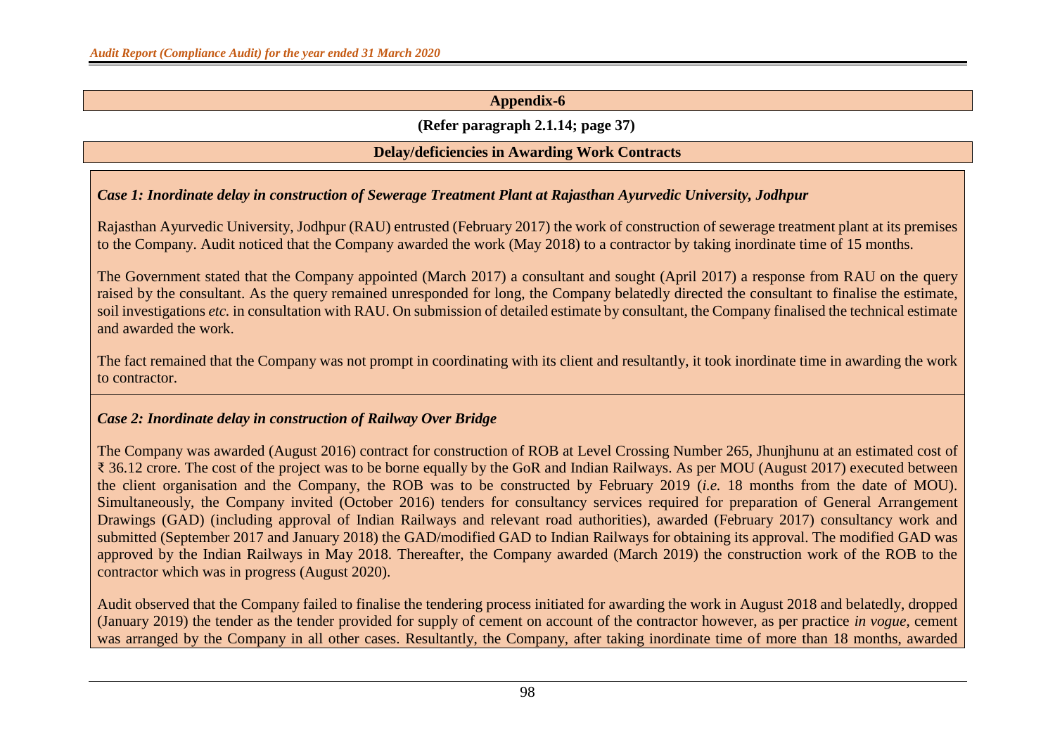### **(Refer paragraph 2.1.14; page 37)**

### **Delay/deficiencies in Awarding Work Contracts**

### *Case 1: Inordinate delay in construction of Sewerage Treatment Plant at Rajasthan Ayurvedic University, Jodhpur*

Rajasthan Ayurvedic University, Jodhpur (RAU) entrusted (February 2017) the work of construction of sewerage treatment plant at its premises to the Company. Audit noticed that the Company awarded the work (May 2018) to a contractor by taking inordinate time of 15 months.

The Government stated that the Company appointed (March 2017) a consultant and sought (April 2017) a response from RAU on the query raised by the consultant. As the query remained unresponded for long, the Company belatedly directed the consultant to finalise the estimate, soil investigations *etc.* in consultation with RAU. On submission of detailed estimate by consultant, the Company finalised the technical estimate and awarded the work.

The fact remained that the Company was not prompt in coordinating with its client and resultantly, it took inordinate time in awarding the work to contractor.

### *Case 2: Inordinate delay in construction of Railway Over Bridge*

The Company was awarded (August 2016) contract for construction of ROB at Level Crossing Number 265, Jhunjhunu at an estimated cost of ₹ 36.12 crore. The cost of the project was to be borne equally by the GoR and Indian Railways. As per MOU (August 2017) executed between the client organisation and the Company, the ROB was to be constructed by February 2019 (*i.e.* 18 months from the date of MOU). Simultaneously, the Company invited (October 2016) tenders for consultancy services required for preparation of General Arrangement Drawings (GAD) (including approval of Indian Railways and relevant road authorities), awarded (February 2017) consultancy work and submitted (September 2017 and January 2018) the GAD/modified GAD to Indian Railways for obtaining its approval. The modified GAD was approved by the Indian Railways in May 2018. Thereafter, the Company awarded (March 2019) the construction work of the ROB to the contractor which was in progress (August 2020).

Audit observed that the Company failed to finalise the tendering process initiated for awarding the work in August 2018 and belatedly, dropped (January 2019) the tender as the tender provided for supply of cement on account of the contractor however, as per practice *in vogue*, cement was arranged by the Company in all other cases. Resultantly, the Company, after taking inordinate time of more than 18 months, awarded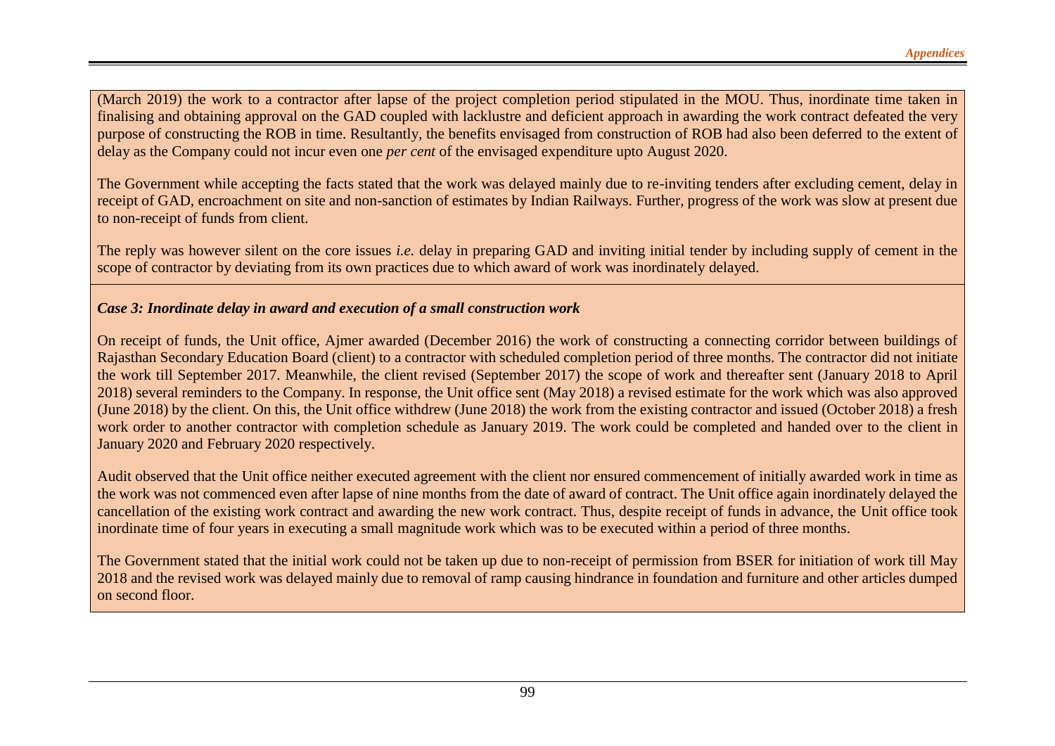(March 2019) the work to a contractor after lapse of the project completion period stipulated in the MOU. Thus, inordinate time taken in finalising and obtaining approval on the GAD coupled with lacklustre and deficient approach in awarding the work contract defeated the very purpose of constructing the ROB in time. Resultantly, the benefits envisaged from construction of ROB had also been deferred to the extent of delay as the Company could not incur even one *per cent* of the envisaged expenditure upto August 2020.

The Government while accepting the facts stated that the work was delayed mainly due to re-inviting tenders after excluding cement, delay in receipt of GAD, encroachment on site and non-sanction of estimates by Indian Railways. Further, progress of the work was slow at present due to non-receipt of funds from client.

The reply was however silent on the core issues *i.e.* delay in preparing GAD and inviting initial tender by including supply of cement in the scope of contractor by deviating from its own practices due to which award of work was inordinately delayed.

### *Case 3: Inordinate delay in award and execution of a small construction work*

On receipt of funds, the Unit office, Ajmer awarded (December 2016) the work of constructing a connecting corridor between buildings of Rajasthan Secondary Education Board (client) to a contractor with scheduled completion period of three months. The contractor did not initiate the work till September 2017. Meanwhile, the client revised (September 2017) the scope of work and thereafter sent (January 2018 to April 2018) several reminders to the Company. In response, the Unit office sent (May 2018) a revised estimate for the work which was also approved (June 2018) by the client. On this, the Unit office withdrew (June 2018) the work from the existing contractor and issued (October 2018) a fresh work order to another contractor with completion schedule as January 2019. The work could be completed and handed over to the client in January 2020 and February 2020 respectively.

Audit observed that the Unit office neither executed agreement with the client nor ensured commencement of initially awarded work in time as the work was not commenced even after lapse of nine months from the date of award of contract. The Unit office again inordinately delayed the cancellation of the existing work contract and awarding the new work contract. Thus, despite receipt of funds in advance, the Unit office took inordinate time of four years in executing a small magnitude work which was to be executed within a period of three months.

The Government stated that the initial work could not be taken up due to non-receipt of permission from BSER for initiation of work till May 2018 and the revised work was delayed mainly due to removal of ramp causing hindrance in foundation and furniture and other articles dumped on second floor.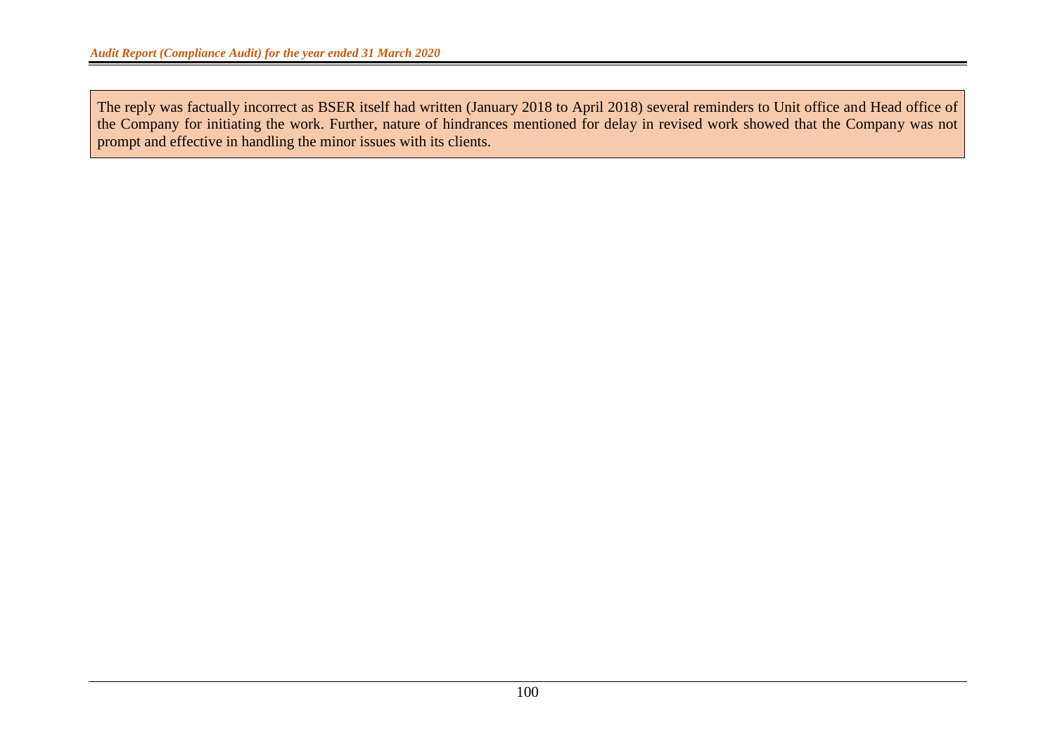The reply was factually incorrect as BSER itself had written (January 2018 to April 2018) several reminders to Unit office and Head office of the Company for initiating the work. Further, nature of hindrances mentioned for delay in revised work showed that the Company was not prompt and effective in handling the minor issues with its clients.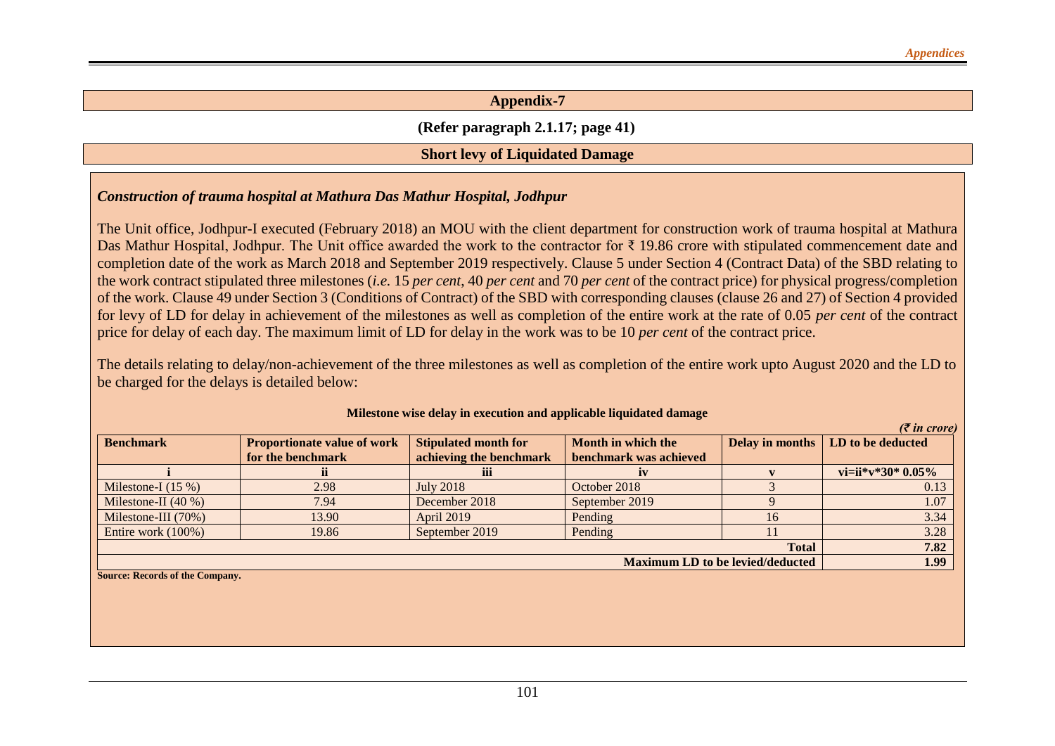### **(Refer paragraph 2.1.17; page 41)**

#### **Short levy of Liquidated Damage**

### *Construction of trauma hospital at Mathura Das Mathur Hospital, Jodhpur*

The Unit office, Jodhpur-I executed (February 2018) an MOU with the client department for construction work of trauma hospital at Mathura Das Mathur Hospital, Jodhpur. The Unit office awarded the work to the contractor for ₹ 19.86 crore with stipulated commencement date and completion date of the work as March 2018 and September 2019 respectively. Clause 5 under Section 4 (Contract Data) of the SBD relating to the work contract stipulated three milestones (*i.e.* 15 *per cent*, 40 *per cent* and 70 *per cent* of the contract price) for physical progress/completion of the work. Clause 49 under Section 3 (Conditions of Contract) of the SBD with corresponding clauses (clause 26 and 27) of Section 4 provided for levy of LD for delay in achievement of the milestones as well as completion of the entire work at the rate of 0.05 *per cent* of the contract price for delay of each day. The maximum limit of LD for delay in the work was to be 10 *per cent* of the contract price.

The details relating to delay/non-achievement of the three milestones as well as completion of the entire work upto August 2020 and the LD to be charged for the delays is detailed below:

| <b>Benchmark</b>               | <b>Proportionate value of work</b> | <b>Stipulated month for</b> | Month in which the                      |              | Delay in months   LD to be deducted |
|--------------------------------|------------------------------------|-----------------------------|-----------------------------------------|--------------|-------------------------------------|
|                                | for the benchmark                  | achieving the benchmark     | benchmark was achieved                  |              |                                     |
|                                |                                    | iii                         |                                         |              | vi=ii*v*30* $0.05\%$                |
| Milestone-I $(15\%)$           | 2.98                               | <b>July 2018</b>            | October 2018                            |              | 0.13                                |
| Milestone-II $(40\%)$          | 7.94                               | December 2018               | September 2019                          |              | 1.07                                |
| Milestone-III $(70%)$          | 13.90                              | April 2019                  | Pending                                 | 16           | 3.34                                |
| Entire work $(100\%)$          | 19.86                              | September 2019              | Pending                                 |              | 3.28                                |
|                                |                                    |                             |                                         | <b>Total</b> | 7.82                                |
|                                |                                    |                             | <b>Maximum LD to be levied/deducted</b> |              | 1.99                                |
| Source: Records of the Company |                                    |                             |                                         |              |                                     |

#### **Milestone wise delay in execution and applicable liquidated damage**

*(₹ in crore)*

**Source: Records of the Company.**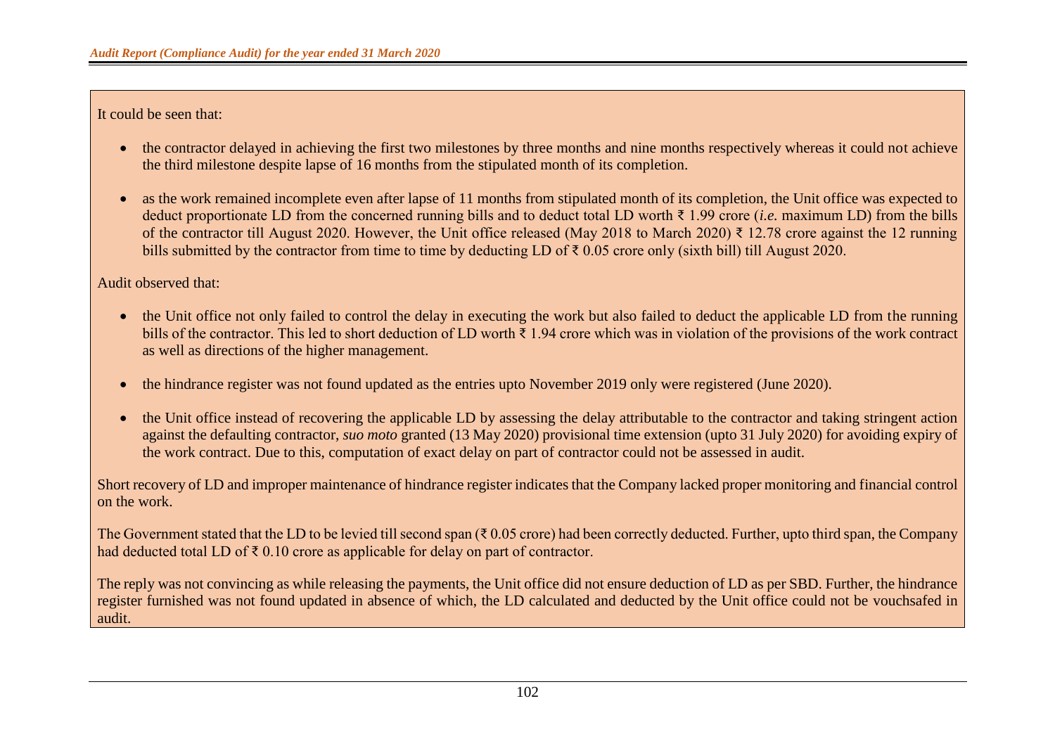It could be seen that:

- the contractor delayed in achieving the first two milestones by three months and nine months respectively whereas it could not achieve the third milestone despite lapse of 16 months from the stipulated month of its completion.
- as the work remained incomplete even after lapse of 11 months from stipulated month of its completion, the Unit office was expected to deduct proportionate LD from the concerned running bills and to deduct total LD worth ₹ 1.99 crore (*i.e.* maximum LD) from the bills of the contractor till August 2020. However, the Unit office released (May 2018 to March 2020) ₹ 12.78 crore against the 12 running bills submitted by the contractor from time to time by deducting LD of ₹ 0.05 crore only (sixth bill) till August 2020.

Audit observed that:

- the Unit office not only failed to control the delay in executing the work but also failed to deduct the applicable LD from the running bills of the contractor. This led to short deduction of LD worth ₹ 1.94 crore which was in violation of the provisions of the work contract as well as directions of the higher management.
- the hindrance register was not found updated as the entries upto November 2019 only were registered (June 2020).
- the Unit office instead of recovering the applicable LD by assessing the delay attributable to the contractor and taking stringent action against the defaulting contractor, *suo moto* granted (13 May 2020) provisional time extension (upto 31 July 2020) for avoiding expiry of the work contract. Due to this, computation of exact delay on part of contractor could not be assessed in audit.

Short recovery of LD and improper maintenance of hindrance register indicates that the Company lacked proper monitoring and financial control on the work.

The Government stated that the LD to be levied till second span ( $\bar{\tau}$  0.05 crore) had been correctly deducted. Further, upto third span, the Company had deducted total LD of  $\bar{\tau}$  0.10 crore as applicable for delay on part of contractor.

The reply was not convincing as while releasing the payments, the Unit office did not ensure deduction of LD as per SBD. Further, the hindrance register furnished was not found updated in absence of which, the LD calculated and deducted by the Unit office could not be vouchsafed in audit.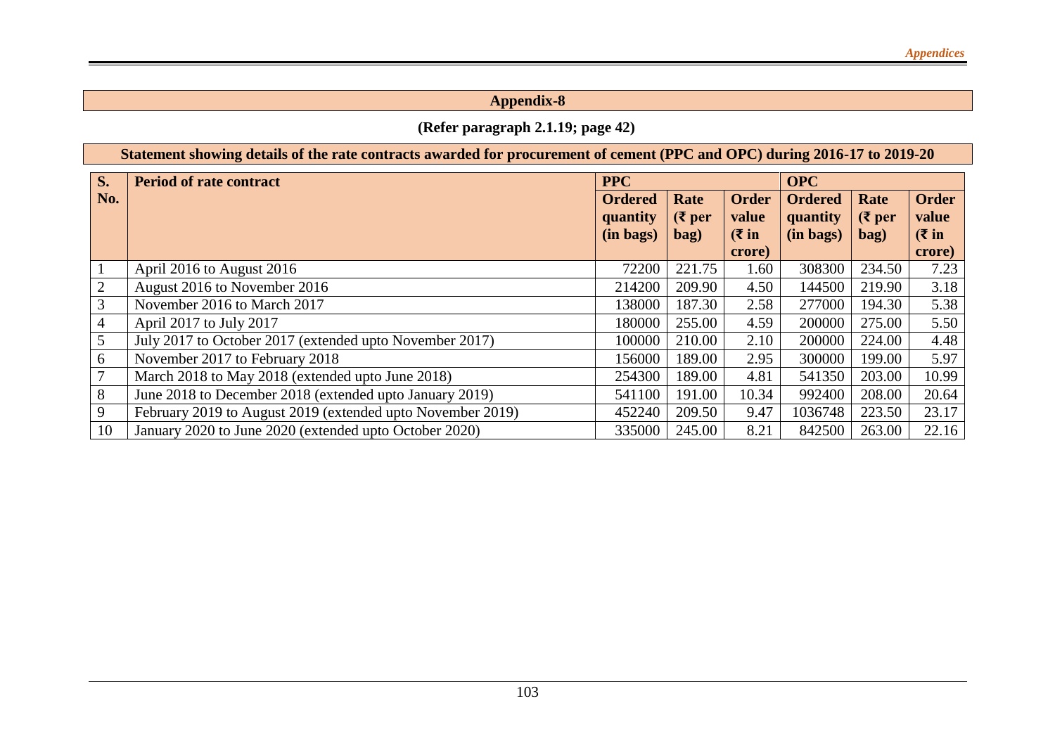# **(Refer paragraph 2.1.19; page 42)**

|                | Statement showing details of the rate contracts awarded for procurement of cement (PPC and OPC) during 2016-17 to 2019-20 |                                                                                                                                                          |        |        |            |                          |                                       |  |  |  |  |
|----------------|---------------------------------------------------------------------------------------------------------------------------|----------------------------------------------------------------------------------------------------------------------------------------------------------|--------|--------|------------|--------------------------|---------------------------------------|--|--|--|--|
| <b>S.</b>      | <b>Period of rate contract</b>                                                                                            | <b>PPC</b>                                                                                                                                               |        |        | <b>OPC</b> |                          |                                       |  |  |  |  |
| No.            |                                                                                                                           | Rate<br><b>Order</b><br><b>Ordered</b><br><b>Ordered</b><br>$(\xi)$ per<br>value<br>quantity<br>quantity<br>$(\bar{\mathbf{\mathsf{z}}}$ in<br>(in bags) |        |        |            | Rate<br>$(3$ per<br>bag) | <b>Order</b><br>value<br>$(3 \infty)$ |  |  |  |  |
|                |                                                                                                                           |                                                                                                                                                          | bag)   | crore) | (in bags)  |                          | crore)                                |  |  |  |  |
|                | April 2016 to August 2016                                                                                                 | 72200                                                                                                                                                    | 221.75 | 1.60   | 308300     | 234.50                   | 7.23                                  |  |  |  |  |
| $\mathbf{2}$   | August 2016 to November 2016                                                                                              | 214200                                                                                                                                                   | 209.90 | 4.50   | 144500     | 219.90                   | 3.18                                  |  |  |  |  |
| 3              | November 2016 to March 2017                                                                                               | 138000                                                                                                                                                   | 187.30 | 2.58   | 277000     | 194.30                   | 5.38                                  |  |  |  |  |
| $\overline{4}$ | April 2017 to July 2017                                                                                                   | 180000                                                                                                                                                   | 255.00 | 4.59   | 200000     | 275.00                   | 5.50                                  |  |  |  |  |
| 5              | July 2017 to October 2017 (extended upto November 2017)                                                                   | 100000                                                                                                                                                   | 210.00 | 2.10   | 200000     | 224.00                   | 4.48                                  |  |  |  |  |
| 6              | November 2017 to February 2018                                                                                            | 156000                                                                                                                                                   | 189.00 | 2.95   | 300000     | 199.00                   | 5.97                                  |  |  |  |  |
| 7              | March 2018 to May 2018 (extended upto June 2018)                                                                          | 254300                                                                                                                                                   | 189.00 | 4.81   | 541350     | 203.00                   | 10.99                                 |  |  |  |  |
| 8              | June 2018 to December 2018 (extended upto January 2019)                                                                   | 541100                                                                                                                                                   | 191.00 | 10.34  | 992400     | 208.00                   | 20.64                                 |  |  |  |  |
| 9              | February 2019 to August 2019 (extended upto November 2019)                                                                | 452240                                                                                                                                                   | 209.50 | 9.47   | 1036748    | 223.50                   | 23.17                                 |  |  |  |  |
| 10             | January 2020 to June 2020 (extended upto October 2020)                                                                    | 335000                                                                                                                                                   | 245.00 | 8.21   | 842500     | 263.00                   | 22.16                                 |  |  |  |  |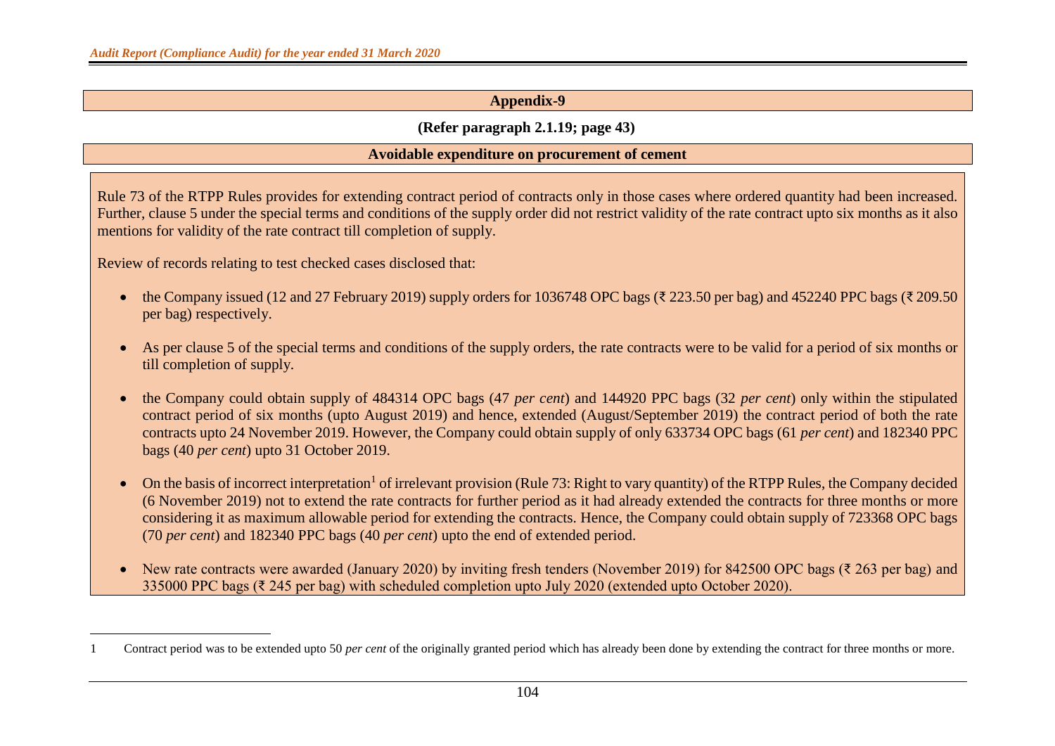### **(Refer paragraph 2.1.19; page 43)**

#### **Avoidable expenditure on procurement of cement**

Rule 73 of the RTPP Rules provides for extending contract period of contracts only in those cases where ordered quantity had been increased. Further, clause 5 under the special terms and conditions of the supply order did not restrict validity of the rate contract upto six months as it also mentions for validity of the rate contract till completion of supply.

Review of records relating to test checked cases disclosed that:

- the Company issued (12 and 27 February 2019) supply orders for 1036748 OPC bags ( $\overline{\xi}$  223.50 per bag) and 452240 PPC bags ( $\overline{\xi}$  209.50 per bag) respectively.
- As per clause 5 of the special terms and conditions of the supply orders, the rate contracts were to be valid for a period of six months or till completion of supply.
- the Company could obtain supply of 484314 OPC bags (47 *per cent*) and 144920 PPC bags (32 *per cent*) only within the stipulated contract period of six months (upto August 2019) and hence, extended (August/September 2019) the contract period of both the rate contracts upto 24 November 2019. However, the Company could obtain supply of only 633734 OPC bags (61 *per cent*) and 182340 PPC bags (40 *per cent*) upto 31 October 2019.
- On the basis of incorrect interpretation<sup>1</sup> of irrelevant provision (Rule 73: Right to vary quantity) of the RTPP Rules, the Company decided (6 November 2019) not to extend the rate contracts for further period as it had already extended the contracts for three months or more considering it as maximum allowable period for extending the contracts. Hence, the Company could obtain supply of 723368 OPC bags (70 *per cent*) and 182340 PPC bags (40 *per cent*) upto the end of extended period.
- New rate contracts were awarded (January 2020) by inviting fresh tenders (November 2019) for 842500 OPC bags ( $\bar{\tau}$  263 per bag) and 335000 PPC bags (₹ 245 per bag) with scheduled completion upto July 2020 (extended upto October 2020).

<sup>1</sup> Contract period was to be extended upto 50 *per cent* of the originally granted period which has already been done by extending the contract for three months or more.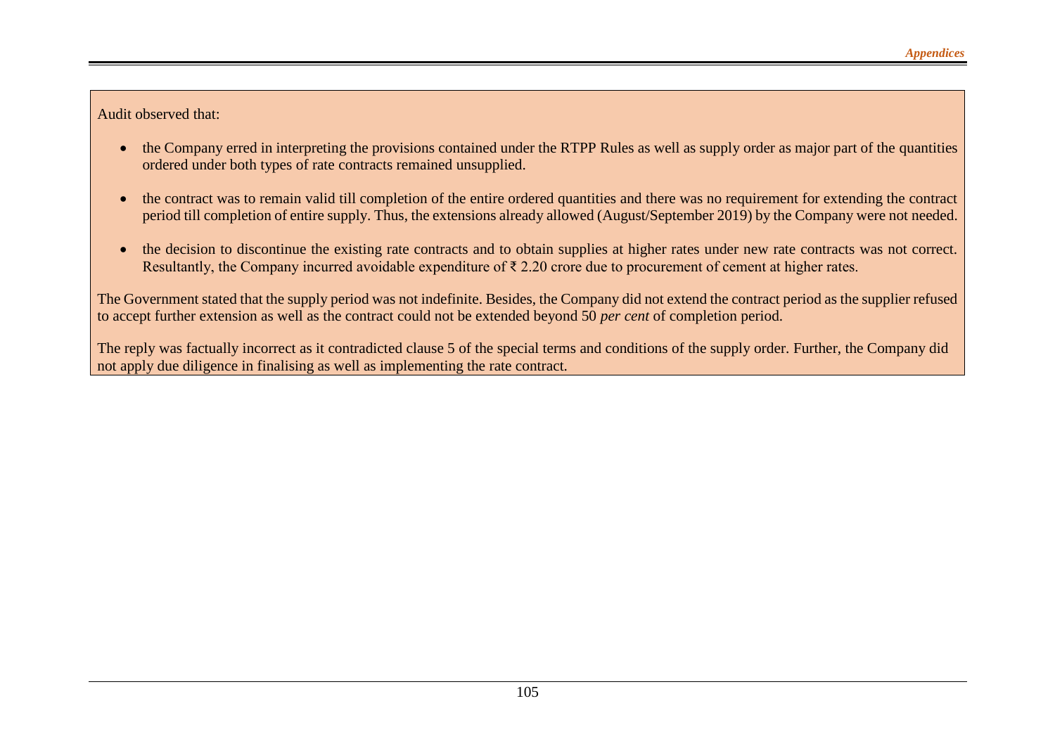Audit observed that:

- the Company erred in interpreting the provisions contained under the RTPP Rules as well as supply order as major part of the quantities ordered under both types of rate contracts remained unsupplied.
- the contract was to remain valid till completion of the entire ordered quantities and there was no requirement for extending the contract period till completion of entire supply. Thus, the extensions already allowed (August/September 2019) by the Company were not needed.
- the decision to discontinue the existing rate contracts and to obtain supplies at higher rates under new rate contracts was not correct. Resultantly, the Company incurred avoidable expenditure of ₹ 2.20 crore due to procurement of cement at higher rates.

The Government stated that the supply period was not indefinite. Besides, the Company did not extend the contract period as the supplier refused to accept further extension as well as the contract could not be extended beyond 50 *per cent* of completion period.

The reply was factually incorrect as it contradicted clause 5 of the special terms and conditions of the supply order. Further, the Company did not apply due diligence in finalising as well as implementing the rate contract.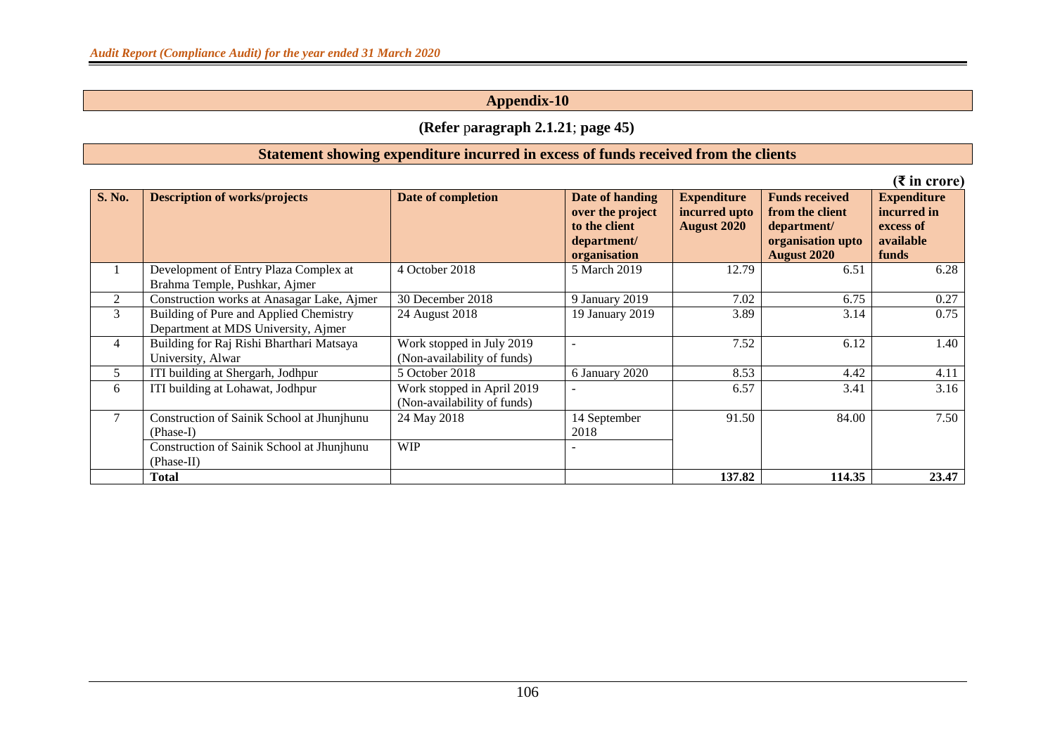## **(Refer** p**aragraph 2.1.21**; **page 45)**

#### **Statement showing expenditure incurred in excess of funds received from the clients**

|                |                                                                               |                                                           |                                                                                     |                                                           |                                                                                                    | $(3 \infty)$ in crore)                                               |
|----------------|-------------------------------------------------------------------------------|-----------------------------------------------------------|-------------------------------------------------------------------------------------|-----------------------------------------------------------|----------------------------------------------------------------------------------------------------|----------------------------------------------------------------------|
| <b>S. No.</b>  | <b>Description of works/projects</b>                                          | Date of completion                                        | Date of handing<br>over the project<br>to the client<br>department/<br>organisation | <b>Expenditure</b><br>incurred upto<br><b>August 2020</b> | <b>Funds received</b><br>from the client<br>department/<br>organisation upto<br><b>August 2020</b> | <b>Expenditure</b><br>incurred in<br>excess of<br>available<br>funds |
|                | Development of Entry Plaza Complex at<br>Brahma Temple, Pushkar, Ajmer        | 4 October 2018                                            | 5 March 2019                                                                        | 12.79                                                     | 6.51                                                                                               | 6.28                                                                 |
| 2              | Construction works at Anasagar Lake, Ajmer                                    | 30 December 2018                                          | 9 January 2019                                                                      | 7.02                                                      | 6.75                                                                                               | 0.27                                                                 |
| 3              | Building of Pure and Applied Chemistry<br>Department at MDS University, Ajmer | 24 August 2018                                            | 19 January 2019                                                                     | 3.89                                                      | 3.14                                                                                               | 0.75                                                                 |
| $\overline{4}$ | Building for Raj Rishi Bharthari Matsaya<br>University, Alwar                 | Work stopped in July 2019<br>(Non-availability of funds)  |                                                                                     | 7.52                                                      | 6.12                                                                                               | 1.40                                                                 |
| 5              | ITI building at Shergarh, Jodhpur                                             | 5 October 2018                                            | 6 January 2020                                                                      | 8.53                                                      | 4.42                                                                                               | 4.11                                                                 |
| 6              | ITI building at Lohawat, Jodhpur                                              | Work stopped in April 2019<br>(Non-availability of funds) | $\blacksquare$                                                                      | 6.57                                                      | 3.41                                                                                               | 3.16                                                                 |
| $\mathcal{I}$  | Construction of Sainik School at Jhunjhunu<br>$(Phase-I)$                     | 24 May 2018                                               | 14 September<br>2018                                                                | 91.50                                                     | 84.00                                                                                              | 7.50                                                                 |
|                | Construction of Sainik School at Jhunjhunu<br>(Phase-II)                      | <b>WIP</b>                                                |                                                                                     |                                                           |                                                                                                    |                                                                      |
|                | <b>Total</b>                                                                  |                                                           |                                                                                     | 137.82                                                    | 114.35                                                                                             | 23.47                                                                |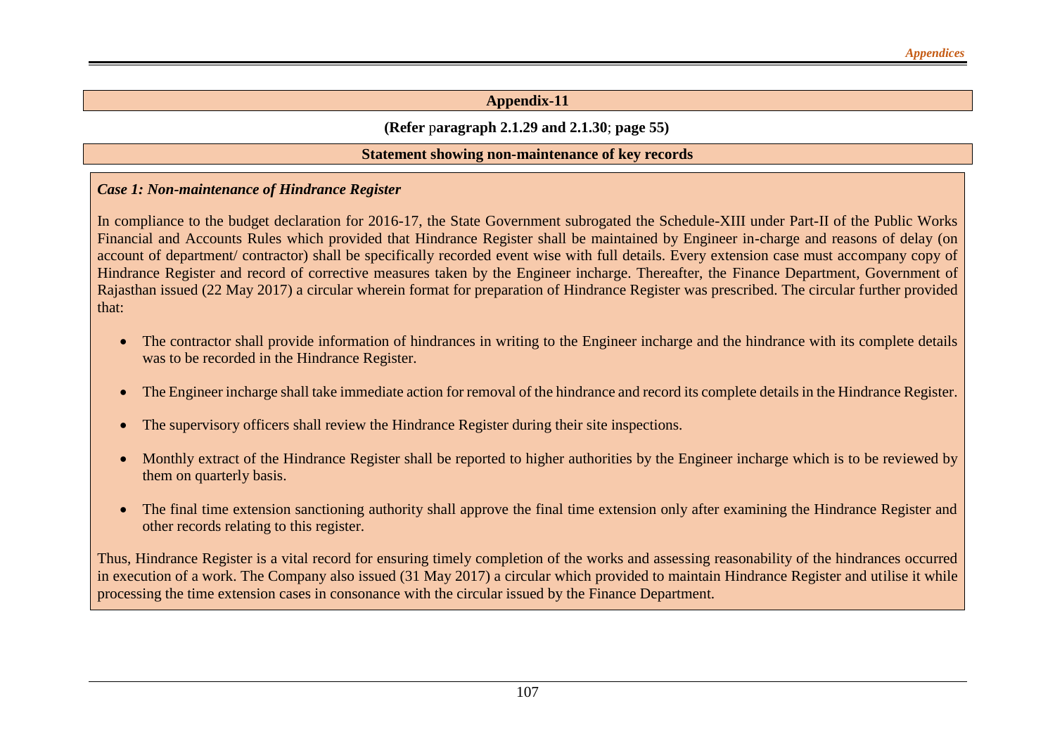### **(Refer** p**aragraph 2.1.29 and 2.1.30**; **page 55)**

#### **Statement showing non-maintenance of key records**

#### *Case 1: Non-maintenance of Hindrance Register*

In compliance to the budget declaration for 2016-17, the State Government subrogated the Schedule-XIII under Part-II of the Public Works Financial and Accounts Rules which provided that Hindrance Register shall be maintained by Engineer in-charge and reasons of delay (on account of department/ contractor) shall be specifically recorded event wise with full details. Every extension case must accompany copy of Hindrance Register and record of corrective measures taken by the Engineer incharge. Thereafter, the Finance Department, Government of Rajasthan issued (22 May 2017) a circular wherein format for preparation of Hindrance Register was prescribed. The circular further provided that:

- The contractor shall provide information of hindrances in writing to the Engineer incharge and the hindrance with its complete details was to be recorded in the Hindrance Register.
- The Engineer incharge shall take immediate action for removal of the hindrance and record its complete details in the Hindrance Register.
- The supervisory officers shall review the Hindrance Register during their site inspections.
- Monthly extract of the Hindrance Register shall be reported to higher authorities by the Engineer incharge which is to be reviewed by them on quarterly basis.
- The final time extension sanctioning authority shall approve the final time extension only after examining the Hindrance Register and other records relating to this register.

Thus, Hindrance Register is a vital record for ensuring timely completion of the works and assessing reasonability of the hindrances occurred in execution of a work. The Company also issued (31 May 2017) a circular which provided to maintain Hindrance Register and utilise it while processing the time extension cases in consonance with the circular issued by the Finance Department.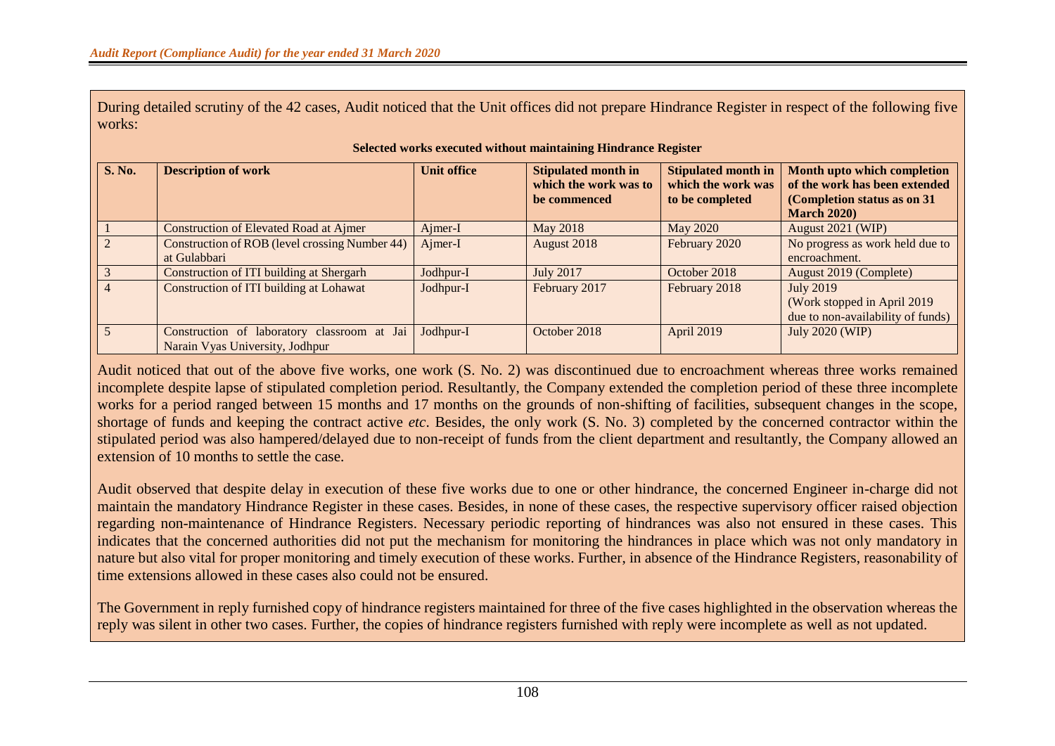During detailed scrutiny of the 42 cases, Audit noticed that the Unit offices did not prepare Hindrance Register in respect of the following five works:

| <b>S. No.</b> | <b>Description of work</b>                                                     | <b>Unit office</b> | <b>Stipulated month in</b><br>which the work was to<br>be commenced | <b>Stipulated month in</b><br>which the work was<br>to be completed | Month upto which completion<br>of the work has been extended<br>(Completion status as on 31)<br><b>March 2020</b> ) |
|---------------|--------------------------------------------------------------------------------|--------------------|---------------------------------------------------------------------|---------------------------------------------------------------------|---------------------------------------------------------------------------------------------------------------------|
|               | <b>Construction of Elevated Road at Ajmer</b>                                  | Ajmer-I            | May 2018                                                            | May 2020                                                            | August 2021 (WIP)                                                                                                   |
|               | <b>Construction of ROB</b> (level crossing Number 44)<br>at Gulabbari          | Ajmer-I            | August 2018                                                         | February 2020                                                       | No progress as work held due to<br>encroachment.                                                                    |
|               | Construction of ITI building at Shergarh                                       | Jodhpur-I          | <b>July 2017</b>                                                    | October 2018                                                        | August 2019 (Complete)                                                                                              |
|               | Construction of ITI building at Lohawat                                        | Jodhpur-I          | February 2017                                                       | February 2018                                                       | <b>July 2019</b><br>(Work stopped in April 2019)<br>due to non-availability of funds)                               |
|               | Construction of laboratory classroom at Jai<br>Narain Vyas University, Jodhpur | Jodhpur-I          | October 2018                                                        | April 2019                                                          | July 2020 (WIP)                                                                                                     |

#### **Selected works executed without maintaining Hindrance Register**

Audit noticed that out of the above five works, one work (S. No. 2) was discontinued due to encroachment whereas three works remained incomplete despite lapse of stipulated completion period. Resultantly, the Company extended the completion period of these three incomplete works for a period ranged between 15 months and 17 months on the grounds of non-shifting of facilities, subsequent changes in the scope, shortage of funds and keeping the contract active *etc*. Besides, the only work (S. No. 3) completed by the concerned contractor within the stipulated period was also hampered/delayed due to non-receipt of funds from the client department and resultantly, the Company allowed an extension of 10 months to settle the case.

Audit observed that despite delay in execution of these five works due to one or other hindrance, the concerned Engineer in-charge did not maintain the mandatory Hindrance Register in these cases. Besides, in none of these cases, the respective supervisory officer raised objection regarding non-maintenance of Hindrance Registers. Necessary periodic reporting of hindrances was also not ensured in these cases. This indicates that the concerned authorities did not put the mechanism for monitoring the hindrances in place which was not only mandatory in nature but also vital for proper monitoring and timely execution of these works. Further, in absence of the Hindrance Registers, reasonability of time extensions allowed in these cases also could not be ensured.

The Government in reply furnished copy of hindrance registers maintained for three of the five cases highlighted in the observation whereas the reply was silent in other two cases. Further, the copies of hindrance registers furnished with reply were incomplete as well as not updated.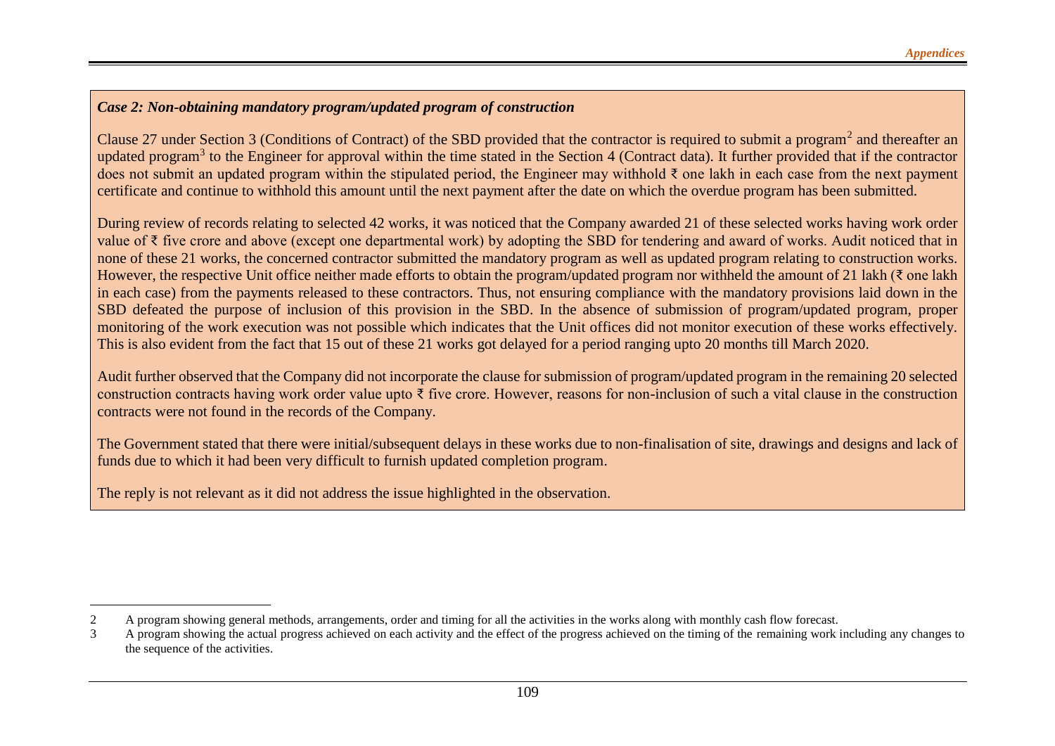### *Case 2: Non-obtaining mandatory program/updated program of construction*

Clause 27 under Section 3 (Conditions of Contract) of the SBD provided that the contractor is required to submit a program<sup>2</sup> and thereafter an updated program<sup>3</sup> to the Engineer for approval within the time stated in the Section 4 (Contract data). It further provided that if the contractor does not submit an updated program within the stipulated period, the Engineer may withhold ₹ one lakh in each case from the next payment certificate and continue to withhold this amount until the next payment after the date on which the overdue program has been submitted.

During review of records relating to selected 42 works, it was noticed that the Company awarded 21 of these selected works having work order value of ₹ five crore and above (except one departmental work) by adopting the SBD for tendering and award of works. Audit noticed that in none of these 21 works, the concerned contractor submitted the mandatory program as well as updated program relating to construction works. However, the respective Unit office neither made efforts to obtain the program/updated program nor withheld the amount of 21 lakh (₹ one lakh in each case) from the payments released to these contractors. Thus, not ensuring compliance with the mandatory provisions laid down in the SBD defeated the purpose of inclusion of this provision in the SBD. In the absence of submission of program/updated program, proper monitoring of the work execution was not possible which indicates that the Unit offices did not monitor execution of these works effectively. This is also evident from the fact that 15 out of these 21 works got delayed for a period ranging upto 20 months till March 2020.

Audit further observed that the Company did not incorporate the clause for submission of program/updated program in the remaining 20 selected construction contracts having work order value upto ₹ five crore. However, reasons for non-inclusion of such a vital clause in the construction contracts were not found in the records of the Company.

The Government stated that there were initial/subsequent delays in these works due to non-finalisation of site, drawings and designs and lack of funds due to which it had been very difficult to furnish updated completion program.

The reply is not relevant as it did not address the issue highlighted in the observation.

<sup>2</sup> A program showing general methods, arrangements, order and timing for all the activities in the works along with monthly cash flow forecast.

<sup>3</sup> A program showing the actual progress achieved on each activity and the effect of the progress achieved on the timing of the remaining work including any changes to the sequence of the activities.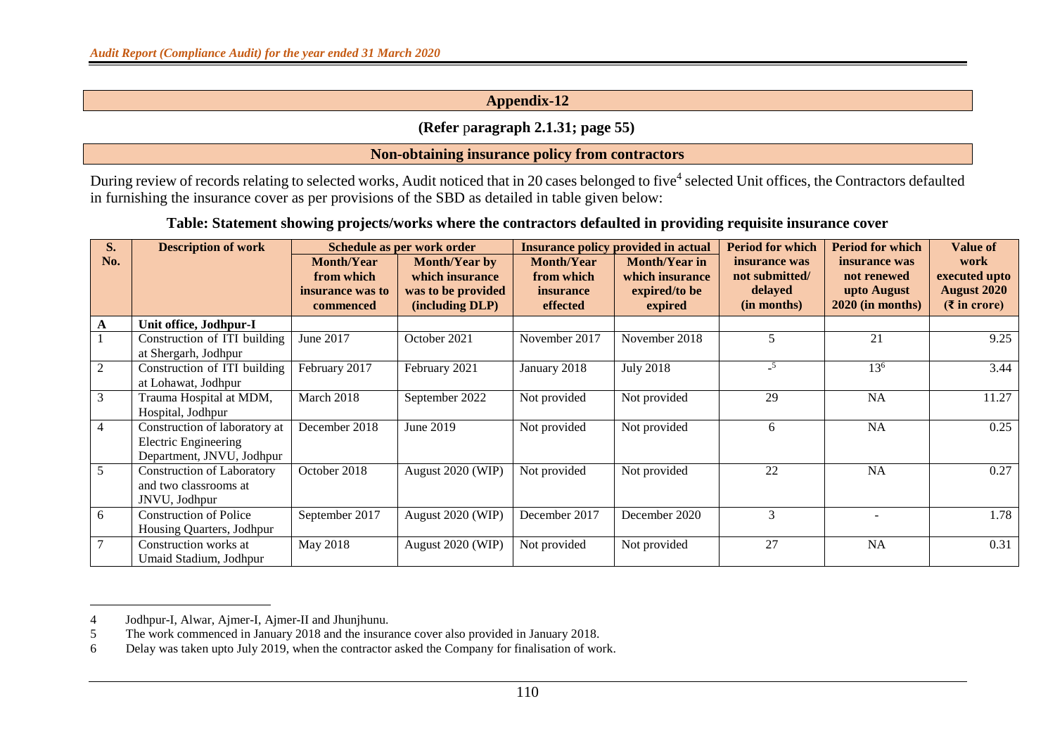### **(Refer** p**aragraph 2.1.31; page 55)**

#### **Non-obtaining insurance policy from contractors**

During review of records relating to selected works, Audit noticed that in 20 cases belonged to five<sup>4</sup> selected Unit offices, the Contractors defaulted in furnishing the insurance cover as per provisions of the SBD as detailed in table given below:

#### **Table: Statement showing projects/works where the contractors defaulted in providing requisite insurance cover**

| <b>S.</b>      | <b>Description of work</b>                                                                |                                                                  | Schedule as per work order                                                       |                                                          | <b>Insurance policy provided in actual</b>                          | <b>Period for which</b>                                   | <b>Period for which</b>                                           | <b>Value of</b>                                                     |
|----------------|-------------------------------------------------------------------------------------------|------------------------------------------------------------------|----------------------------------------------------------------------------------|----------------------------------------------------------|---------------------------------------------------------------------|-----------------------------------------------------------|-------------------------------------------------------------------|---------------------------------------------------------------------|
| No.            |                                                                                           | <b>Month/Year</b><br>from which<br>insurance was to<br>commenced | <b>Month/Year by</b><br>which insurance<br>was to be provided<br>(including DLP) | <b>Month/Year</b><br>from which<br>insurance<br>effected | <b>Month/Year in</b><br>which insurance<br>expired/to be<br>expired | insurance was<br>not submitted/<br>delayed<br>(in months) | insurance was<br>not renewed<br>upto August<br>$2020$ (in months) | work<br>executed upto<br><b>August 2020</b><br>$(\bar{z}$ in crore) |
|                | Unit office, Jodhpur-I                                                                    |                                                                  |                                                                                  |                                                          |                                                                     |                                                           |                                                                   |                                                                     |
|                | Construction of ITI building<br>at Shergarh, Jodhpur                                      | June 2017                                                        | October 2021                                                                     | November 2017                                            | November 2018                                                       | 5                                                         | 21                                                                | 9.25                                                                |
| 2              | Construction of ITI building<br>at Lohawat, Jodhpur                                       | February 2017                                                    | February 2021                                                                    | January 2018                                             | <b>July 2018</b>                                                    | $-5$                                                      | $13^{6}$                                                          | 3.44                                                                |
| 3              | Trauma Hospital at MDM,<br>Hospital, Jodhpur                                              | March 2018                                                       | September 2022                                                                   | Not provided                                             | Not provided                                                        | 29                                                        | NA                                                                | 11.27                                                               |
| $\overline{4}$ | Construction of laboratory at<br><b>Electric Engineering</b><br>Department, JNVU, Jodhpur | December 2018                                                    | June 2019                                                                        | Not provided                                             | Not provided                                                        | 6                                                         | NA                                                                | 0.25                                                                |
| 5              | <b>Construction of Laboratory</b><br>and two classrooms at<br>JNVU, Jodhpur               | October 2018                                                     | August 2020 (WIP)                                                                | Not provided                                             | Not provided                                                        | 22                                                        | <b>NA</b>                                                         | 0.27                                                                |
| 6              | <b>Construction of Police</b><br>Housing Quarters, Jodhpur                                | September 2017                                                   | August 2020 (WIP)                                                                | December 2017                                            | December 2020                                                       | 3                                                         |                                                                   | 1.78                                                                |
|                | Construction works at<br>Umaid Stadium, Jodhpur                                           | May 2018                                                         | August 2020 (WIP)                                                                | Not provided                                             | Not provided                                                        | 27                                                        | NA                                                                | 0.31                                                                |

<sup>4</sup> Jodhpur-I, Alwar, Ajmer-I, Ajmer-II and Jhunjhunu.

<sup>5</sup> The work commenced in January 2018 and the insurance cover also provided in January 2018.

<sup>6</sup> Delay was taken upto July 2019, when the contractor asked the Company for finalisation of work.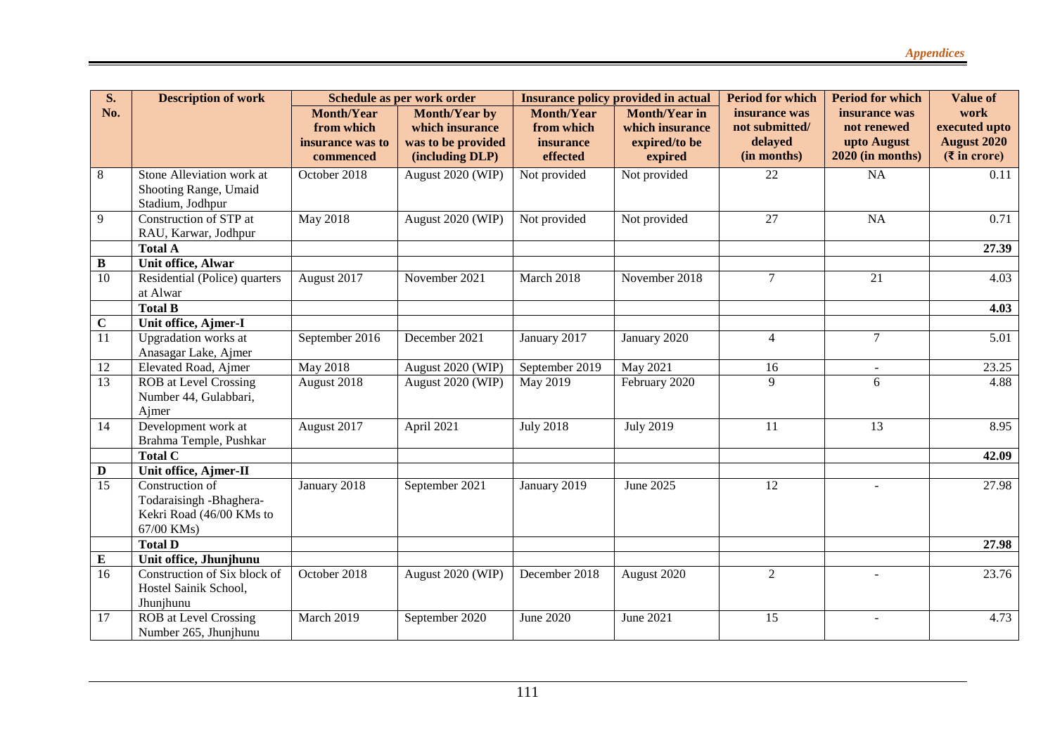| <b>S.</b>      | <b>Description of work</b>                                                           | Schedule as per work order                                       |                                                                                  | <b>Insurance policy provided in actual</b>               |                                                                     | <b>Period for which</b>                                   | <b>Period for which</b>                                         | <b>Value of</b>                                                     |
|----------------|--------------------------------------------------------------------------------------|------------------------------------------------------------------|----------------------------------------------------------------------------------|----------------------------------------------------------|---------------------------------------------------------------------|-----------------------------------------------------------|-----------------------------------------------------------------|---------------------------------------------------------------------|
| No.            |                                                                                      | <b>Month/Year</b><br>from which<br>insurance was to<br>commenced | <b>Month/Year by</b><br>which insurance<br>was to be provided<br>(including DLP) | <b>Month/Year</b><br>from which<br>insurance<br>effected | <b>Month/Year in</b><br>which insurance<br>expired/to be<br>expired | insurance was<br>not submitted/<br>delayed<br>(in months) | insurance was<br>not renewed<br>upto August<br>2020 (in months) | work<br>executed upto<br><b>August 2020</b><br>$(\bar{z}$ in crore) |
| 8              | Stone Alleviation work at<br>Shooting Range, Umaid<br>Stadium, Jodhpur               | October 2018                                                     | August 2020 (WIP)                                                                | Not provided                                             | Not provided                                                        | 22                                                        | <b>NA</b>                                                       | 0.11                                                                |
| 9              | Construction of STP at<br>RAU, Karwar, Jodhpur                                       | <b>May 2018</b>                                                  | August 2020 (WIP)                                                                | Not provided                                             | Not provided                                                        | 27                                                        | <b>NA</b>                                                       | 0.71                                                                |
|                | <b>Total A</b>                                                                       |                                                                  |                                                                                  |                                                          |                                                                     |                                                           |                                                                 | 27.39                                                               |
| $\bf{B}$<br>10 | Unit office, Alwar<br>Residential (Police) quarters<br>at Alwar                      | August 2017                                                      | November 2021                                                                    | March 2018                                               | November 2018                                                       | $\tau$                                                    | 21                                                              | 4.03                                                                |
|                | <b>Total B</b>                                                                       |                                                                  |                                                                                  |                                                          |                                                                     |                                                           |                                                                 | 4.03                                                                |
| $\mathbf C$    | Unit office, Ajmer-I                                                                 |                                                                  |                                                                                  |                                                          |                                                                     |                                                           |                                                                 |                                                                     |
| 11             | Upgradation works at<br>Anasagar Lake, Ajmer                                         | September 2016                                                   | December 2021                                                                    | January 2017                                             | January 2020                                                        | $\overline{4}$                                            | $\tau$                                                          | 5.01                                                                |
| 12             | Elevated Road, Ajmer                                                                 | May 2018                                                         | August 2020 (WIP)                                                                | September 2019                                           | May 2021                                                            | 16                                                        |                                                                 | 23.25                                                               |
| 13             | ROB at Level Crossing<br>Number 44, Gulabbari,<br>Ajmer                              | August 2018                                                      | August 2020 (WIP)                                                                | May 2019                                                 | February 2020                                                       | 9                                                         | 6                                                               | 4.88                                                                |
| 14             | Development work at<br>Brahma Temple, Pushkar                                        | August 2017                                                      | April 2021                                                                       | <b>July 2018</b>                                         | <b>July 2019</b>                                                    | 11                                                        | $\overline{13}$                                                 | 8.95                                                                |
|                | <b>Total C</b>                                                                       |                                                                  |                                                                                  |                                                          |                                                                     |                                                           |                                                                 | 42.09                                                               |
| D              | Unit office, Ajmer-II                                                                |                                                                  |                                                                                  |                                                          |                                                                     |                                                           |                                                                 |                                                                     |
| 15             | Construction of<br>Todaraisingh -Bhaghera-<br>Kekri Road (46/00 KMs to<br>67/00 KMs) | January 2018                                                     | September 2021                                                                   | January 2019                                             | June 2025                                                           | 12                                                        |                                                                 | 27.98                                                               |
|                | <b>Total D</b>                                                                       |                                                                  |                                                                                  |                                                          |                                                                     |                                                           |                                                                 | 27.98                                                               |
| ${\bf E}$      | Unit office, Jhunjhunu                                                               |                                                                  |                                                                                  |                                                          |                                                                     |                                                           |                                                                 |                                                                     |
| 16             | Construction of Six block of<br>Hostel Sainik School,<br>Jhunjhunu                   | October 2018                                                     | August 2020 (WIP)                                                                | December 2018                                            | August 2020                                                         | $\overline{2}$                                            |                                                                 | 23.76                                                               |
| 17             | <b>ROB</b> at Level Crossing<br>Number 265, Jhunjhunu                                | March 2019                                                       | September 2020                                                                   | <b>June 2020</b>                                         | June 2021                                                           | $\overline{15}$                                           | $\sim$                                                          | 4.73                                                                |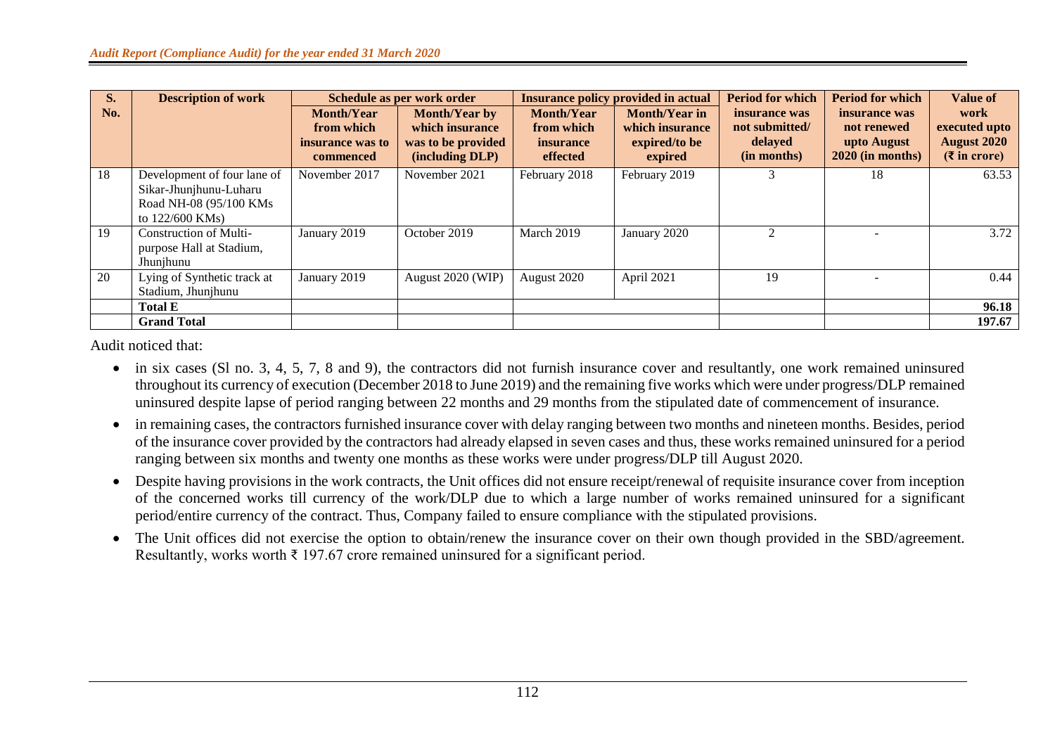| S.  | <b>Description of work</b>                                                                          | Schedule as per work order                                       |                                                                                  | <b>Insurance policy provided in actual</b>                      |                                                                     | <b>Period for which</b>                                   | <b>Period for which</b>                                           | <b>Value of</b>                                                       |
|-----|-----------------------------------------------------------------------------------------------------|------------------------------------------------------------------|----------------------------------------------------------------------------------|-----------------------------------------------------------------|---------------------------------------------------------------------|-----------------------------------------------------------|-------------------------------------------------------------------|-----------------------------------------------------------------------|
| No. |                                                                                                     | <b>Month/Year</b><br>from which<br>insurance was to<br>commenced | <b>Month/Year by</b><br>which insurance<br>was to be provided<br>(including DLP) | <b>Month/Year</b><br>from which<br><i>insurance</i><br>effected | <b>Month/Year in</b><br>which insurance<br>expired/to be<br>expired | insurance was<br>not submitted/<br>delayed<br>(in months) | insurance was<br>not renewed<br>upto August<br>$2020$ (in months) | work<br>executed upto<br><b>August 2020</b><br>$(3 \infty)$ in crore) |
| 18  | Development of four lane of<br>Sikar-Jhunjhunu-Luharu<br>Road NH-08 (95/100 KMs)<br>to 122/600 KMs) | November 2017                                                    | November 2021                                                                    | February 2018                                                   | February 2019                                                       |                                                           | 18                                                                | 63.53                                                                 |
| 19  | <b>Construction of Multi-</b><br>purpose Hall at Stadium,<br>Jhunjhunu                              | January 2019                                                     | October 2019                                                                     | March 2019                                                      | January 2020                                                        | $\mathfrak{D}$                                            |                                                                   | 3.72                                                                  |
| 20  | Lying of Synthetic track at<br>Stadium, Jhunjhunu                                                   | January 2019                                                     | August 2020 (WIP)                                                                | August 2020                                                     | April 2021                                                          | 19                                                        |                                                                   | 0.44                                                                  |
|     | <b>Total E</b>                                                                                      |                                                                  |                                                                                  |                                                                 |                                                                     |                                                           |                                                                   | 96.18                                                                 |
|     | <b>Grand Total</b>                                                                                  |                                                                  |                                                                                  |                                                                 |                                                                     |                                                           |                                                                   | 197.67                                                                |

Audit noticed that:

- in six cases (Sl no. 3, 4, 5, 7, 8 and 9), the contractors did not furnish insurance cover and resultantly, one work remained uninsured throughout its currency of execution (December 2018 to June 2019) and the remaining five works which were under progress/DLP remained uninsured despite lapse of period ranging between 22 months and 29 months from the stipulated date of commencement of insurance.
- in remaining cases, the contractors furnished insurance cover with delay ranging between two months and nineteen months. Besides, period of the insurance cover provided by the contractors had already elapsed in seven cases and thus, these works remained uninsured for a period ranging between six months and twenty one months as these works were under progress/DLP till August 2020.
- Despite having provisions in the work contracts, the Unit offices did not ensure receipt/renewal of requisite insurance cover from inception of the concerned works till currency of the work/DLP due to which a large number of works remained uninsured for a significant period/entire currency of the contract. Thus, Company failed to ensure compliance with the stipulated provisions.
- The Unit offices did not exercise the option to obtain/renew the insurance cover on their own though provided in the SBD/agreement. Resultantly, works worth  $\bar{\tau}$  197.67 crore remained uninsured for a significant period.